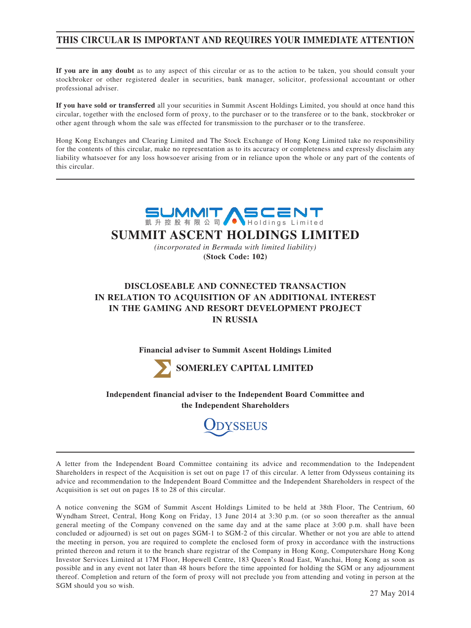## **THIS CIRCULAR IS IMPORTANT AND REQUIRES YOUR IMMEDIATE ATTENTION**

**If you are in any doubt** as to any aspect of this circular or as to the action to be taken, you should consult your stockbroker or other registered dealer in securities, bank manager, solicitor, professional accountant or other professional adviser.

**If you have sold or transferred** all your securities in Summit Ascent Holdings Limited, you should at once hand this circular, together with the enclosed form of proxy, to the purchaser or to the transferee or to the bank, stockbroker or other agent through whom the sale was effected for transmission to the purchaser or to the transferee.

Hong Kong Exchanges and Clearing Limited and The Stock Exchange of Hong Kong Limited take no responsibility for the contents of this circular, make no representation as to its accuracy or completeness and expressly disclaim any liability whatsoever for any loss howsoever arising from or in reliance upon the whole or any part of the contents of this circular.





**Independent financial adviser to the Independent Board Committee and the Independent Shareholders**



A letter from the Independent Board Committee containing its advice and recommendation to the Independent Shareholders in respect of the Acquisition is set out on page 17 of this circular. A letter from Odysseus containing its advice and recommendation to the Independent Board Committee and the Independent Shareholders in respect of the Acquisition is set out on pages 18 to 28 of this circular.

A notice convening the SGM of Summit Ascent Holdings Limited to be held at 38th Floor, The Centrium, 60 Wyndham Street, Central, Hong Kong on Friday, 13 June 2014 at 3:30 p.m. (or so soon thereafter as the annual general meeting of the Company convened on the same day and at the same place at 3:00 p.m. shall have been concluded or adjourned) is set out on pages SGM-1 to SGM-2 of this circular. Whether or not you are able to attend the meeting in person, you are required to complete the enclosed form of proxy in accordance with the instructions printed thereon and return it to the branch share registrar of the Company in Hong Kong, Computershare Hong Kong Investor Services Limited at 17M Floor, Hopewell Centre, 183 Queen's Road East, Wanchai, Hong Kong as soon as possible and in any event not later than 48 hours before the time appointed for holding the SGM or any adjournment thereof. Completion and return of the form of proxy will not preclude you from attending and voting in person at the SGM should you so wish.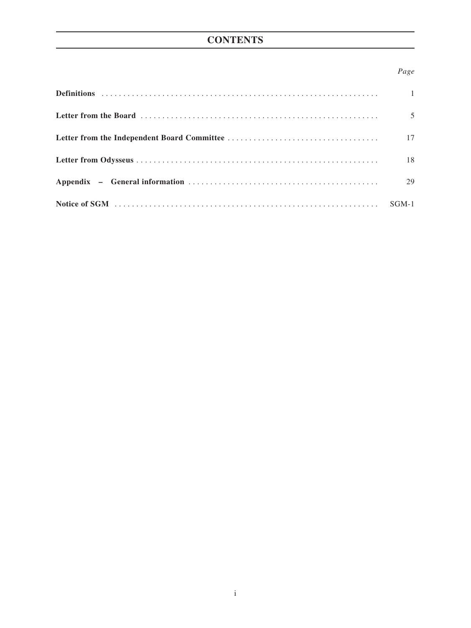# **CONTENTS**

## *Page*

| $\overline{1}$ |
|----------------|
| 5              |
| 17             |
| 18             |
| 29             |
| $SGM-1$        |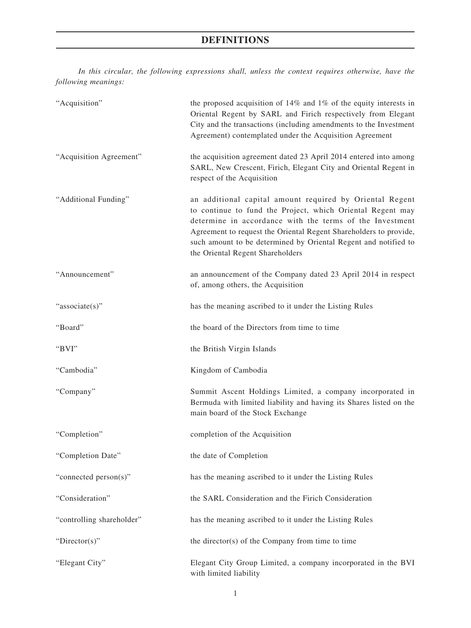*In this circular, the following expressions shall, unless the context requires otherwise, have the following meanings:*

| "Acquisition"             | the proposed acquisition of $14\%$ and $1\%$ of the equity interests in<br>Oriental Regent by SARL and Firich respectively from Elegant<br>City and the transactions (including amendments to the Investment<br>Agreement) contemplated under the Acquisition Agreement                                                                                        |
|---------------------------|----------------------------------------------------------------------------------------------------------------------------------------------------------------------------------------------------------------------------------------------------------------------------------------------------------------------------------------------------------------|
| "Acquisition Agreement"   | the acquisition agreement dated 23 April 2014 entered into among<br>SARL, New Crescent, Firich, Elegant City and Oriental Regent in<br>respect of the Acquisition                                                                                                                                                                                              |
| "Additional Funding"      | an additional capital amount required by Oriental Regent<br>to continue to fund the Project, which Oriental Regent may<br>determine in accordance with the terms of the Investment<br>Agreement to request the Oriental Regent Shareholders to provide,<br>such amount to be determined by Oriental Regent and notified to<br>the Oriental Regent Shareholders |
| "Announcement"            | an announcement of the Company dated 23 April 2014 in respect<br>of, among others, the Acquisition                                                                                                                                                                                                                                                             |
| "associate(s)"            | has the meaning ascribed to it under the Listing Rules                                                                                                                                                                                                                                                                                                         |
| "Board"                   | the board of the Directors from time to time                                                                                                                                                                                                                                                                                                                   |
| "BVI"                     | the British Virgin Islands                                                                                                                                                                                                                                                                                                                                     |
| "Cambodia"                | Kingdom of Cambodia                                                                                                                                                                                                                                                                                                                                            |
| "Company"                 | Summit Ascent Holdings Limited, a company incorporated in<br>Bermuda with limited liability and having its Shares listed on the<br>main board of the Stock Exchange                                                                                                                                                                                            |
| "Completion"              | completion of the Acquisition                                                                                                                                                                                                                                                                                                                                  |
| "Completion Date"         | the date of Completion                                                                                                                                                                                                                                                                                                                                         |
| "connected person(s)"     | has the meaning ascribed to it under the Listing Rules                                                                                                                                                                                                                                                                                                         |
| "Consideration"           | the SARL Consideration and the Firich Consideration                                                                                                                                                                                                                                                                                                            |
| "controlling shareholder" | has the meaning ascribed to it under the Listing Rules                                                                                                                                                                                                                                                                                                         |
| "Director(s)"             | the director(s) of the Company from time to time                                                                                                                                                                                                                                                                                                               |
| "Elegant City"            | Elegant City Group Limited, a company incorporated in the BVI<br>with limited liability                                                                                                                                                                                                                                                                        |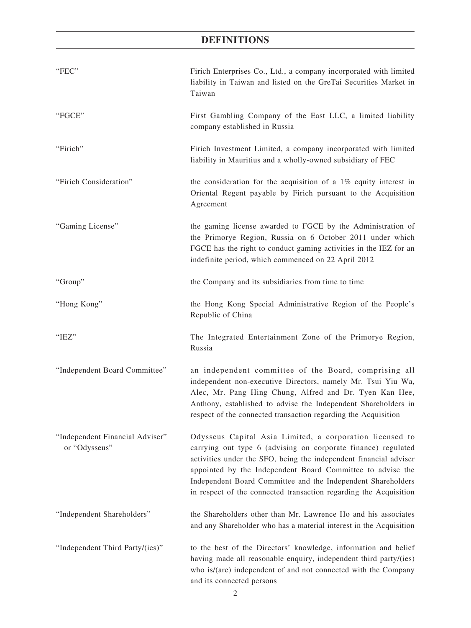| "FEC"                                            | Firich Enterprises Co., Ltd., a company incorporated with limited<br>liability in Taiwan and listed on the GreTai Securities Market in<br>Taiwan                                                                                                                                                                                                                                                  |
|--------------------------------------------------|---------------------------------------------------------------------------------------------------------------------------------------------------------------------------------------------------------------------------------------------------------------------------------------------------------------------------------------------------------------------------------------------------|
| "FGCE"                                           | First Gambling Company of the East LLC, a limited liability<br>company established in Russia                                                                                                                                                                                                                                                                                                      |
| "Firich"                                         | Firich Investment Limited, a company incorporated with limited<br>liability in Mauritius and a wholly-owned subsidiary of FEC                                                                                                                                                                                                                                                                     |
| "Firich Consideration"                           | the consideration for the acquisition of a $1\%$ equity interest in<br>Oriental Regent payable by Firich pursuant to the Acquisition<br>Agreement                                                                                                                                                                                                                                                 |
| "Gaming License"                                 | the gaming license awarded to FGCE by the Administration of<br>the Primorye Region, Russia on 6 October 2011 under which<br>FGCE has the right to conduct gaming activities in the IEZ for an<br>indefinite period, which commenced on 22 April 2012                                                                                                                                              |
| "Group"                                          | the Company and its subsidiaries from time to time                                                                                                                                                                                                                                                                                                                                                |
| "Hong Kong"                                      | the Hong Kong Special Administrative Region of the People's<br>Republic of China                                                                                                                                                                                                                                                                                                                  |
| "IEZ"                                            | The Integrated Entertainment Zone of the Primorye Region,<br>Russia                                                                                                                                                                                                                                                                                                                               |
| "Independent Board Committee"                    | an independent committee of the Board, comprising all<br>independent non-executive Directors, namely Mr. Tsui Yiu Wa,<br>Alec, Mr. Pang Hing Chung, Alfred and Dr. Tyen Kan Hee,<br>Anthony, established to advise the Independent Shareholders in<br>respect of the connected transaction regarding the Acquisition                                                                              |
| "Independent Financial Adviser"<br>or "Odysseus" | Odysseus Capital Asia Limited, a corporation licensed to<br>carrying out type 6 (advising on corporate finance) regulated<br>activities under the SFO, being the independent financial adviser<br>appointed by the Independent Board Committee to advise the<br>Independent Board Committee and the Independent Shareholders<br>in respect of the connected transaction regarding the Acquisition |
| "Independent Shareholders"                       | the Shareholders other than Mr. Lawrence Ho and his associates<br>and any Shareholder who has a material interest in the Acquisition                                                                                                                                                                                                                                                              |
| "Independent Third Party/(ies)"                  | to the best of the Directors' knowledge, information and belief<br>having made all reasonable enquiry, independent third party/(ies)<br>who is/(are) independent of and not connected with the Company<br>and its connected persons                                                                                                                                                               |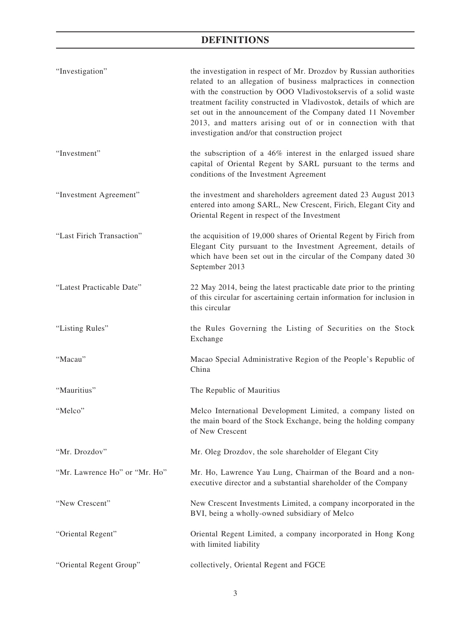| "Investigation"               | the investigation in respect of Mr. Drozdov by Russian authorities<br>related to an allegation of business malpractices in connection<br>with the construction by OOO Vladivostokservis of a solid waste<br>treatment facility constructed in Vladivostok, details of which are<br>set out in the announcement of the Company dated 11 November<br>2013, and matters arising out of or in connection with that<br>investigation and/or that construction project |
|-------------------------------|------------------------------------------------------------------------------------------------------------------------------------------------------------------------------------------------------------------------------------------------------------------------------------------------------------------------------------------------------------------------------------------------------------------------------------------------------------------|
| "Investment"                  | the subscription of a 46% interest in the enlarged issued share<br>capital of Oriental Regent by SARL pursuant to the terms and<br>conditions of the Investment Agreement                                                                                                                                                                                                                                                                                        |
| "Investment Agreement"        | the investment and shareholders agreement dated 23 August 2013<br>entered into among SARL, New Crescent, Firich, Elegant City and<br>Oriental Regent in respect of the Investment                                                                                                                                                                                                                                                                                |
| "Last Firich Transaction"     | the acquisition of 19,000 shares of Oriental Regent by Firich from<br>Elegant City pursuant to the Investment Agreement, details of<br>which have been set out in the circular of the Company dated 30<br>September 2013                                                                                                                                                                                                                                         |
| "Latest Practicable Date"     | 22 May 2014, being the latest practicable date prior to the printing<br>of this circular for ascertaining certain information for inclusion in<br>this circular                                                                                                                                                                                                                                                                                                  |
| "Listing Rules"               | the Rules Governing the Listing of Securities on the Stock<br>Exchange                                                                                                                                                                                                                                                                                                                                                                                           |
| "Macau"                       | Macao Special Administrative Region of the People's Republic of<br>China                                                                                                                                                                                                                                                                                                                                                                                         |
| "Mauritius"                   | The Republic of Mauritius                                                                                                                                                                                                                                                                                                                                                                                                                                        |
| "Melco"                       | Melco International Development Limited, a company listed on<br>the main board of the Stock Exchange, being the holding company<br>of New Crescent                                                                                                                                                                                                                                                                                                               |
| "Mr. Drozdov"                 | Mr. Oleg Drozdov, the sole shareholder of Elegant City                                                                                                                                                                                                                                                                                                                                                                                                           |
| "Mr. Lawrence Ho" or "Mr. Ho" | Mr. Ho, Lawrence Yau Lung, Chairman of the Board and a non-<br>executive director and a substantial shareholder of the Company                                                                                                                                                                                                                                                                                                                                   |
| "New Crescent"                | New Crescent Investments Limited, a company incorporated in the<br>BVI, being a wholly-owned subsidiary of Melco                                                                                                                                                                                                                                                                                                                                                 |
| "Oriental Regent"             | Oriental Regent Limited, a company incorporated in Hong Kong<br>with limited liability                                                                                                                                                                                                                                                                                                                                                                           |
|                               |                                                                                                                                                                                                                                                                                                                                                                                                                                                                  |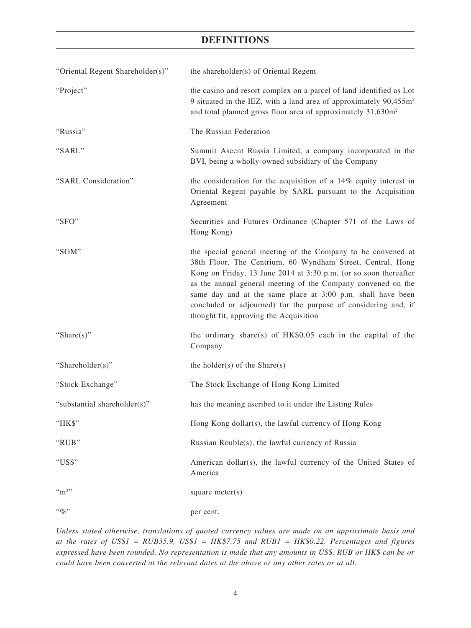| "Oriental Regent Shareholder(s)" | the shareholder(s) of Oriental Regent                                                                                                                                                                                                                                                                                                                                                                                                     |
|----------------------------------|-------------------------------------------------------------------------------------------------------------------------------------------------------------------------------------------------------------------------------------------------------------------------------------------------------------------------------------------------------------------------------------------------------------------------------------------|
| "Project"                        | the casino and resort complex on a parcel of land identified as Lot<br>9 situated in the IEZ, with a land area of approximately 90,455m <sup>2</sup><br>and total planned gross floor area of approximately 31,630m <sup>2</sup>                                                                                                                                                                                                          |
| "Russia"                         | The Russian Federation                                                                                                                                                                                                                                                                                                                                                                                                                    |
| "SARL"                           | Summit Ascent Russia Limited, a company incorporated in the<br>BVI, being a wholly-owned subsidiary of the Company                                                                                                                                                                                                                                                                                                                        |
| "SARL Consideration"             | the consideration for the acquisition of a $14\%$ equity interest in<br>Oriental Regent payable by SARL pursuant to the Acquisition<br>Agreement                                                                                                                                                                                                                                                                                          |
| "SFO"                            | Securities and Futures Ordinance (Chapter 571 of the Laws of<br>Hong Kong)                                                                                                                                                                                                                                                                                                                                                                |
| "SGM"                            | the special general meeting of the Company to be convened at<br>38th Floor, The Centrium, 60 Wyndham Street, Central, Hong<br>Kong on Friday, 13 June 2014 at 3:30 p.m. (or so soon thereafter<br>as the annual general meeting of the Company convened on the<br>same day and at the same place at 3:00 p.m. shall have been<br>concluded or adjourned) for the purpose of considering and, if<br>thought fit, approving the Acquisition |
| "Share $(s)$ "                   | the ordinary share(s) of $HK$0.05$ each in the capital of the<br>Company                                                                                                                                                                                                                                                                                                                                                                  |
| "Shareholder(s)"                 | the holder(s) of the $Share(s)$                                                                                                                                                                                                                                                                                                                                                                                                           |
| "Stock Exchange"                 | The Stock Exchange of Hong Kong Limited                                                                                                                                                                                                                                                                                                                                                                                                   |
| "substantial shareholder(s)"     | has the meaning ascribed to it under the Listing Rules                                                                                                                                                                                                                                                                                                                                                                                    |
| "HK\$"                           | Hong Kong dollar(s), the lawful currency of Hong Kong                                                                                                                                                                                                                                                                                                                                                                                     |
| "RUB"                            | Russian Rouble(s), the lawful currency of Russia                                                                                                                                                                                                                                                                                                                                                                                          |
| "US\$"                           | American dollar(s), the lawful currency of the United States of<br>America                                                                                                                                                                                                                                                                                                                                                                |
| $\cdot \cdot m^2$                | square $meter(s)$                                                                                                                                                                                                                                                                                                                                                                                                                         |
| $``q_0"$                         | per cent.                                                                                                                                                                                                                                                                                                                                                                                                                                 |

*Unless stated otherwise, translations of quoted currency values are made on an approximate basis and at the rates of US\$1 = RUB35.9, US\$1 = HK\$7.75 and RUB1 = HK\$0.22. Percentages and figures expressed have been rounded. No representation is made that any amounts in US\$, RUB or HK\$ can be or could have been converted at the relevant dates at the above or any other rates or at all.*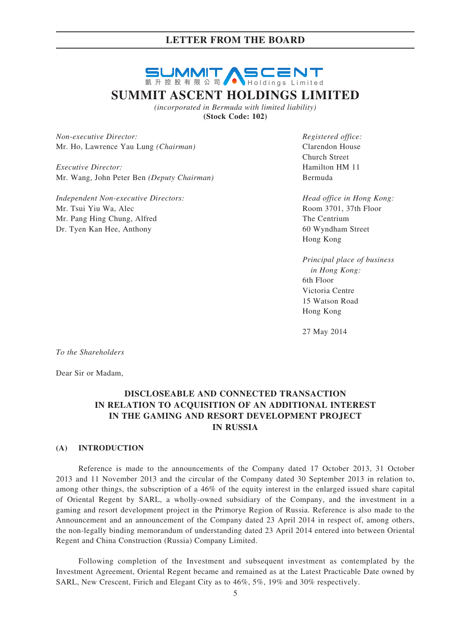# **SUMMIT ASCENT SUMMIT ASCENT HOLDINGS LIMITED**

*(incorporated in Bermuda with limited liability)* **(Stock Code: 102)**

*Non-executive Director: Registered office:* Mr. Ho, Lawrence Yau Lung *(Chairman)* Clarendon House

*Executive Director:* Hamilton HM 11 Mr. Wang, John Peter Ben *(Deputy Chairman)* Bermuda

*Independent Non-executive Directors: Head office in Hong Kong:* Mr. Tsui Yiu Wa, Alec Room 3701, 37th Floor Mr. Pang Hing Chung, Alfred The Centrium Dr. Tyen Kan Hee, Anthony 60 Wyndham Street

Church Street

Hong Kong

*Principal place of business in Hong Kong:* 6th Floor Victoria Centre 15 Watson Road Hong Kong

27 May 2014

*To the Shareholders*

Dear Sir or Madam,

## **DISCLOSEABLE AND CONNECTED TRANSACTION IN RELATION TO ACQUISITION OF AN ADDITIONAL INTEREST IN THE GAMING AND RESORT DEVELOPMENT PROJECT IN RUSSIA**

#### **(A) INTRODUCTION**

Reference is made to the announcements of the Company dated 17 October 2013, 31 October 2013 and 11 November 2013 and the circular of the Company dated 30 September 2013 in relation to, among other things, the subscription of a 46% of the equity interest in the enlarged issued share capital of Oriental Regent by SARL, a wholly-owned subsidiary of the Company, and the investment in a gaming and resort development project in the Primorye Region of Russia. Reference is also made to the Announcement and an announcement of the Company dated 23 April 2014 in respect of, among others, the non-legally binding memorandum of understanding dated 23 April 2014 entered into between Oriental Regent and China Construction (Russia) Company Limited.

Following completion of the Investment and subsequent investment as contemplated by the Investment Agreement, Oriental Regent became and remained as at the Latest Practicable Date owned by SARL, New Crescent, Firich and Elegant City as to 46%, 5%, 19% and 30% respectively.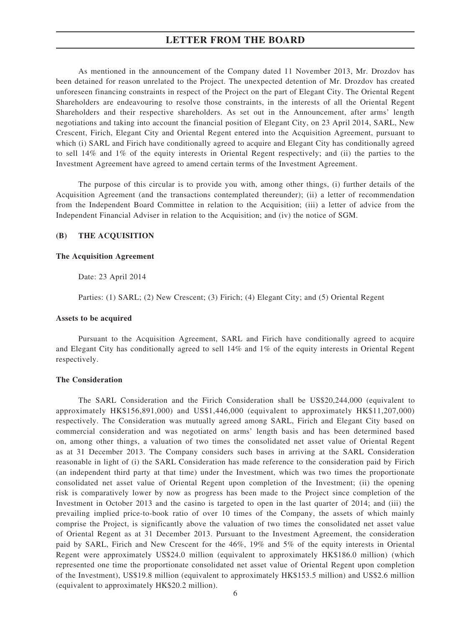As mentioned in the announcement of the Company dated 11 November 2013, Mr. Drozdov has been detained for reason unrelated to the Project. The unexpected detention of Mr. Drozdov has created unforeseen financing constraints in respect of the Project on the part of Elegant City. The Oriental Regent Shareholders are endeavouring to resolve those constraints, in the interests of all the Oriental Regent Shareholders and their respective shareholders. As set out in the Announcement, after arms' length negotiations and taking into account the financial position of Elegant City, on 23 April 2014, SARL, New Crescent, Firich, Elegant City and Oriental Regent entered into the Acquisition Agreement, pursuant to which (i) SARL and Firich have conditionally agreed to acquire and Elegant City has conditionally agreed to sell 14% and 1% of the equity interests in Oriental Regent respectively; and (ii) the parties to the Investment Agreement have agreed to amend certain terms of the Investment Agreement.

The purpose of this circular is to provide you with, among other things, (i) further details of the Acquisition Agreement (and the transactions contemplated thereunder); (ii) a letter of recommendation from the Independent Board Committee in relation to the Acquisition; (iii) a letter of advice from the Independent Financial Adviser in relation to the Acquisition; and (iv) the notice of SGM.

#### **(B) The ACQUISITION**

#### **The Acquisition Agreement**

Date: 23 April 2014

Parties: (1) SARL; (2) New Crescent; (3) Firich; (4) Elegant City; and (5) Oriental Regent

#### **Assets to be acquired**

Pursuant to the Acquisition Agreement, SARL and Firich have conditionally agreed to acquire and Elegant City has conditionally agreed to sell 14% and 1% of the equity interests in Oriental Regent respectively.

#### **The Consideration**

The SARL Consideration and the Firich Consideration shall be US\$20,244,000 (equivalent to approximately HK\$156,891,000) and US\$1,446,000 (equivalent to approximately HK\$11,207,000) respectively. The Consideration was mutually agreed among SARL, Firich and Elegant City based on commercial consideration and was negotiated on arms' length basis and has been determined based on, among other things, a valuation of two times the consolidated net asset value of Oriental Regent as at 31 December 2013. The Company considers such bases in arriving at the SARL Consideration reasonable in light of (i) the SARL Consideration has made reference to the consideration paid by Firich (an independent third party at that time) under the Investment, which was two times the proportionate consolidated net asset value of Oriental Regent upon completion of the Investment; (ii) the opening risk is comparatively lower by now as progress has been made to the Project since completion of the Investment in October 2013 and the casino is targeted to open in the last quarter of 2014; and (iii) the prevailing implied price-to-book ratio of over 10 times of the Company, the assets of which mainly comprise the Project, is significantly above the valuation of two times the consolidated net asset value of Oriental Regent as at 31 December 2013. Pursuant to the Investment Agreement, the consideration paid by SARL, Firich and New Crescent for the 46%, 19% and 5% of the equity interests in Oriental Regent were approximately US\$24.0 million (equivalent to approximately HK\$186.0 million) (which represented one time the proportionate consolidated net asset value of Oriental Regent upon completion of the Investment), US\$19.8 million (equivalent to approximately HK\$153.5 million) and US\$2.6 million (equivalent to approximately HK\$20.2 million).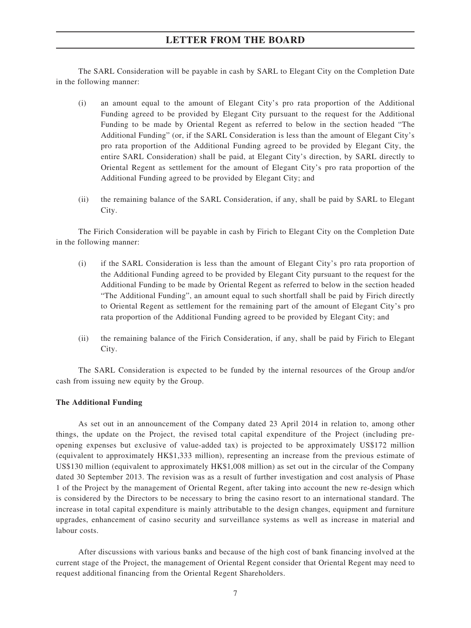The SARL Consideration will be payable in cash by SARL to Elegant City on the Completion Date in the following manner:

- (i) an amount equal to the amount of Elegant City's pro rata proportion of the Additional Funding agreed to be provided by Elegant City pursuant to the request for the Additional Funding to be made by Oriental Regent as referred to below in the section headed "The Additional Funding" (or, if the SARL Consideration is less than the amount of Elegant City's pro rata proportion of the Additional Funding agreed to be provided by Elegant City, the entire SARL Consideration) shall be paid, at Elegant City's direction, by SARL directly to Oriental Regent as settlement for the amount of Elegant City's pro rata proportion of the Additional Funding agreed to be provided by Elegant City; and
- (ii) the remaining balance of the SARL Consideration, if any, shall be paid by SARL to Elegant City.

The Firich Consideration will be payable in cash by Firich to Elegant City on the Completion Date in the following manner:

- (i) if the SARL Consideration is less than the amount of Elegant City's pro rata proportion of the Additional Funding agreed to be provided by Elegant City pursuant to the request for the Additional Funding to be made by Oriental Regent as referred to below in the section headed "The Additional Funding", an amount equal to such shortfall shall be paid by Firich directly to Oriental Regent as settlement for the remaining part of the amount of Elegant City's pro rata proportion of the Additional Funding agreed to be provided by Elegant City; and
- (ii) the remaining balance of the Firich Consideration, if any, shall be paid by Firich to Elegant City.

The SARL Consideration is expected to be funded by the internal resources of the Group and/or cash from issuing new equity by the Group.

#### **The Additional Funding**

As set out in an announcement of the Company dated 23 April 2014 in relation to, among other things, the update on the Project, the revised total capital expenditure of the Project (including preopening expenses but exclusive of value-added tax) is projected to be approximately US\$172 million (equivalent to approximately HK\$1,333 million), representing an increase from the previous estimate of US\$130 million (equivalent to approximately HK\$1,008 million) as set out in the circular of the Company dated 30 September 2013. The revision was as a result of further investigation and cost analysis of Phase 1 of the Project by the management of Oriental Regent, after taking into account the new re-design which is considered by the Directors to be necessary to bring the casino resort to an international standard. The increase in total capital expenditure is mainly attributable to the design changes, equipment and furniture upgrades, enhancement of casino security and surveillance systems as well as increase in material and labour costs.

After discussions with various banks and because of the high cost of bank financing involved at the current stage of the Project, the management of Oriental Regent consider that Oriental Regent may need to request additional financing from the Oriental Regent Shareholders.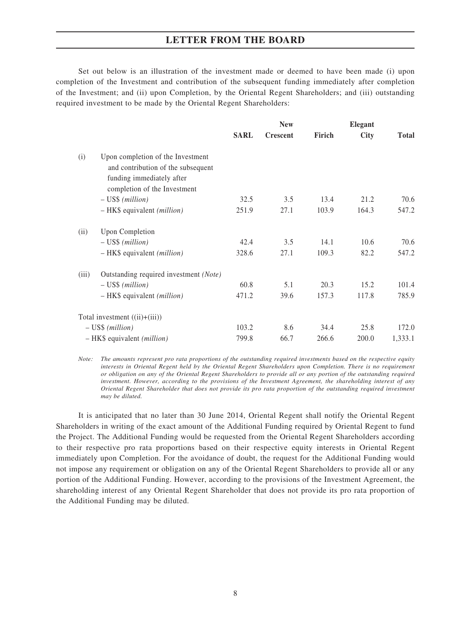Set out below is an illustration of the investment made or deemed to have been made (i) upon completion of the Investment and contribution of the subsequent funding immediately after completion of the Investment; and (ii) upon Completion, by the Oriental Regent Shareholders; and (iii) outstanding required investment to be made by the Oriental Regent Shareholders:

|       |                                                                                                                                      |             | <b>New</b>      |        | <b>Elegant</b> |              |
|-------|--------------------------------------------------------------------------------------------------------------------------------------|-------------|-----------------|--------|----------------|--------------|
|       |                                                                                                                                      | <b>SARL</b> | <b>Crescent</b> | Firich | <b>City</b>    | <b>Total</b> |
| (i)   | Upon completion of the Investment<br>and contribution of the subsequent<br>funding immediately after<br>completion of the Investment |             |                 |        |                |              |
|       | $-$ US\$ (million)                                                                                                                   | 32.5        | 3.5             | 13.4   | 21.2           | 70.6         |
|       | $-$ HK\$ equivalent ( <i>million</i> )                                                                                               | 251.9       | 27.1            | 103.9  | 164.3          | 547.2        |
| (ii)  | <b>Upon Completion</b>                                                                                                               |             |                 |        |                |              |
|       | $-$ US\$ (million)                                                                                                                   | 42.4        | 3.5             | 14.1   | 10.6           | 70.6         |
|       | - HK\$ equivalent <i>(million)</i>                                                                                                   | 328.6       | 27.1            | 109.3  | 82.2           | 547.2        |
| (iii) | Outstanding required investment (Note)                                                                                               |             |                 |        |                |              |
|       | $-$ US\$ (million)                                                                                                                   | 60.8        | 5.1             | 20.3   | 15.2           | 101.4        |
|       | $-$ HK\$ equivalent ( <i>million</i> )                                                                                               | 471.2       | 39.6            | 157.3  | 117.8          | 785.9        |
|       | Total investment $((ii)+(iii))$                                                                                                      |             |                 |        |                |              |
|       | $-$ US\$ (million)                                                                                                                   | 103.2       | 8.6             | 34.4   | 25.8           | 172.0        |
|       | - HK\$ equivalent <i>(million)</i>                                                                                                   | 799.8       | 66.7            | 266.6  | 200.0          | 1,333.1      |

*Note: The amounts represent pro rata proportions of the outstanding required investments based on the respective equity interests in Oriental Regent held by the Oriental Regent Shareholders upon Completion. There is no requirement or obligation on any of the Oriental Regent Shareholders to provide all or any portion of the outstanding required investment. However, according to the provisions of the Investment Agreement, the shareholding interest of any Oriental Regent Shareholder that does not provide its pro rata proportion of the outstanding required investment may be diluted.*

It is anticipated that no later than 30 June 2014, Oriental Regent shall notify the Oriental Regent Shareholders in writing of the exact amount of the Additional Funding required by Oriental Regent to fund the Project. The Additional Funding would be requested from the Oriental Regent Shareholders according to their respective pro rata proportions based on their respective equity interests in Oriental Regent immediately upon Completion. For the avoidance of doubt, the request for the Additional Funding would not impose any requirement or obligation on any of the Oriental Regent Shareholders to provide all or any portion of the Additional Funding. However, according to the provisions of the Investment Agreement, the shareholding interest of any Oriental Regent Shareholder that does not provide its pro rata proportion of the Additional Funding may be diluted.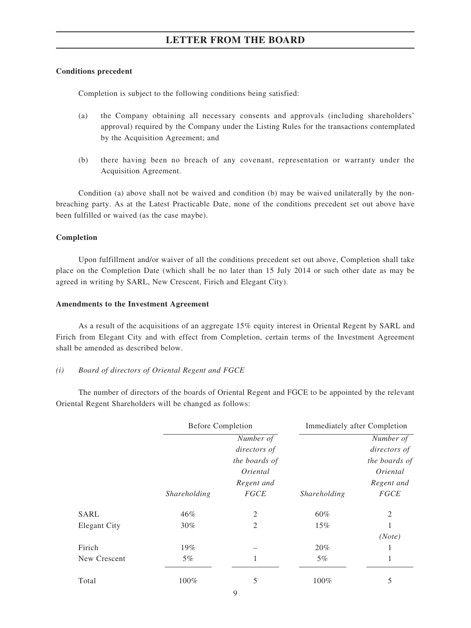#### **Conditions precedent**

Completion is subject to the following conditions being satisfied:

- (a) the Company obtaining all necessary consents and approvals (including shareholders' approval) required by the Company under the Listing Rules for the transactions contemplated by the Acquisition Agreement; and
- (b) there having been no breach of any covenant, representation or warranty under the Acquisition Agreement.

Condition (a) above shall not be waived and condition (b) may be waived unilaterally by the nonbreaching party. As at the Latest Practicable Date, none of the conditions precedent set out above have been fulfilled or waived (as the case maybe).

#### **Completion**

Upon fulfillment and/or waiver of all the conditions precedent set out above, Completion shall take place on the Completion Date (which shall be no later than 15 July 2014 or such other date as may be agreed in writing by SARL, New Crescent, Firich and Elegant City).

#### **Amendments to the Investment Agreement**

As a result of the acquisitions of an aggregate 15% equity interest in Oriental Regent by SARL and Firich from Elegant City and with effect from Completion, certain terms of the Investment Agreement shall be amended as described below.

#### *(i) Board of directors of Oriental Regent and FGCE*

The number of directors of the boards of Oriental Regent and FGCE to be appointed by the relevant Oriental Regent Shareholders will be changed as follows:

|                     | <b>Before Completion</b> |                |              | <b>Immediately after Completion</b> |
|---------------------|--------------------------|----------------|--------------|-------------------------------------|
|                     |                          | Number of      |              | Number of                           |
|                     |                          | directors of   |              | directors of                        |
|                     |                          | the boards of  |              | the boards of                       |
|                     |                          | Oriental       |              | Oriental                            |
|                     |                          | Regent and     |              | Regent and                          |
|                     | Shareholding             | <b>FGCE</b>    | Shareholding | <b>FGCE</b>                         |
| <b>SARL</b>         | 46%                      | $\overline{2}$ | 60%          | $\overline{2}$                      |
| <b>Elegant City</b> | $30\%$                   | 2              | 15%          |                                     |
|                     |                          |                |              | (Note)                              |
| Firich              | 19%                      |                | 20%          |                                     |
| New Crescent        | $5\%$                    | 1              | $5\%$        | 1                                   |
| Total               | 100%                     | 5              | 100%         | 5                                   |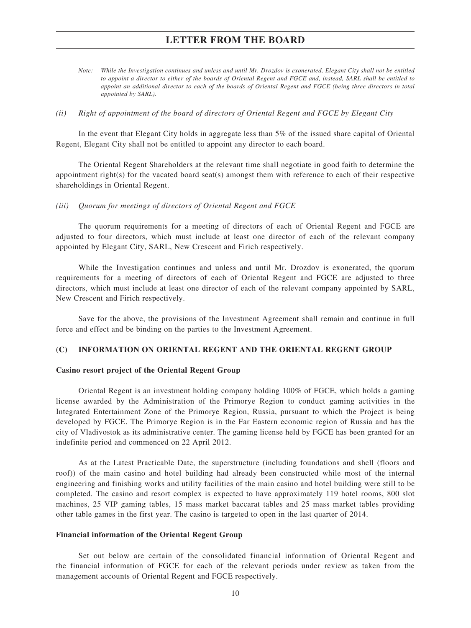- *Note: While the Investigation continues and unless and until Mr. Drozdov is exonerated, Elegant City shall not be entitled to appoint a director to either of the boards of Oriental Regent and FGCE and, instead, SARL shall be entitled to appoint an additional director to each of the boards of Oriental Regent and FGCE (being three directors in total appointed by SARL).*
- *(ii) Right of appointment of the board of directors of Oriental Regent and FGCE by Elegant City*

In the event that Elegant City holds in aggregate less than 5% of the issued share capital of Oriental Regent, Elegant City shall not be entitled to appoint any director to each board.

The Oriental Regent Shareholders at the relevant time shall negotiate in good faith to determine the appointment right(s) for the vacated board seat(s) amongst them with reference to each of their respective shareholdings in Oriental Regent.

*(iii) Quorum for meetings of directors of Oriental Regent and FGCE*

The quorum requirements for a meeting of directors of each of Oriental Regent and FGCE are adjusted to four directors, which must include at least one director of each of the relevant company appointed by Elegant City, SARL, New Crescent and Firich respectively.

While the Investigation continues and unless and until Mr. Drozdov is exonerated, the quorum requirements for a meeting of directors of each of Oriental Regent and FGCE are adjusted to three directors, which must include at least one director of each of the relevant company appointed by SARL, New Crescent and Firich respectively.

Save for the above, the provisions of the Investment Agreement shall remain and continue in full force and effect and be binding on the parties to the Investment Agreement.

#### **(C) INFORMATION ON ORIENTAL REGENT AND THE ORIENTAL REGENT GROUP**

#### **Casino resort project of the Oriental Regent Group**

Oriental Regent is an investment holding company holding 100% of FGCE, which holds a gaming license awarded by the Administration of the Primorye Region to conduct gaming activities in the Integrated Entertainment Zone of the Primorye Region, Russia, pursuant to which the Project is being developed by FGCE. The Primorye Region is in the Far Eastern economic region of Russia and has the city of Vladivostok as its administrative center. The gaming license held by FGCE has been granted for an indefinite period and commenced on 22 April 2012.

As at the Latest Practicable Date, the superstructure (including foundations and shell (floors and roof)) of the main casino and hotel building had already been constructed while most of the internal engineering and finishing works and utility facilities of the main casino and hotel building were still to be completed. The casino and resort complex is expected to have approximately 119 hotel rooms, 800 slot machines, 25 VIP gaming tables, 15 mass market baccarat tables and 25 mass market tables providing other table games in the first year. The casino is targeted to open in the last quarter of 2014.

#### **Financial information of the Oriental Regent Group**

Set out below are certain of the consolidated financial information of Oriental Regent and the financial information of FGCE for each of the relevant periods under review as taken from the management accounts of Oriental Regent and FGCE respectively.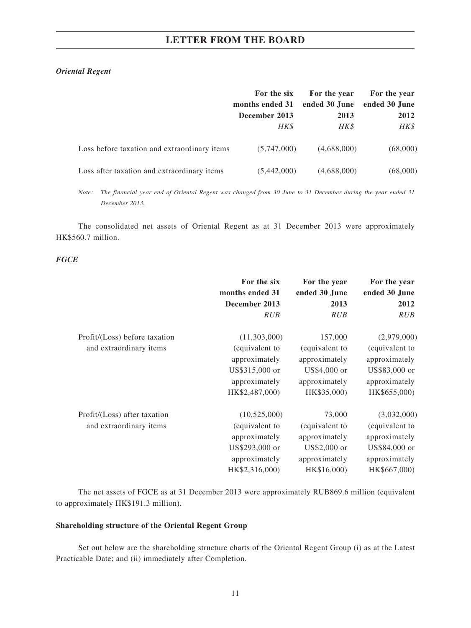## *Oriental Regent*

|                                              | For the six     | For the year  | For the year  |
|----------------------------------------------|-----------------|---------------|---------------|
|                                              | months ended 31 | ended 30 June | ended 30 June |
|                                              | December 2013   | 2013          | 2012          |
|                                              | HK\$            | HK\$          | HK\$          |
| Loss before taxation and extraordinary items | (5,747,000)     | (4,688,000)   | (68,000)      |
| Loss after taxation and extraordinary items  | (5,442,000)     | (4,688,000)   | (68,000)      |

*Note: The financial year end of Oriental Regent was changed from 30 June to 31 December during the year ended 31 December 2013.*

The consolidated net assets of Oriental Regent as at 31 December 2013 were approximately HK\$560.7 million.

### *FGCE*

|                               | For the six     | For the year   | For the year   |
|-------------------------------|-----------------|----------------|----------------|
|                               | months ended 31 | ended 30 June  | ended 30 June  |
|                               | December 2013   | 2013           | 2012           |
|                               | <b>RUB</b>      | <b>RUB</b>     | RUB            |
| Profit/(Loss) before taxation | (11,303,000)    | 157,000        | (2,979,000)    |
| and extraordinary items       | (equivalent to  | (equivalent to | (equivalent to |
|                               | approximately   | approximately  | approximately  |
|                               | US\$315,000 or  | US\$4,000 or   | US\$83,000 or  |
|                               | approximately   | approximately  | approximately  |
|                               | HK\$2,487,000)  | HK\$35,000)    | HK\$655,000)   |
| Profit/(Loss) after taxation  | (10,525,000)    | 73,000         | (3,032,000)    |
| and extraordinary items       | (equivalent to  | (equivalent to | (equivalent to |
|                               | approximately   | approximately  | approximately  |
|                               | US\$293,000 or  | US\$2,000 or   | US\$84,000 or  |
|                               | approximately   | approximately  | approximately  |
|                               | HK\$2,316,000)  | HK\$16,000)    | HK\$667,000)   |

The net assets of FGCE as at 31 December 2013 were approximately RUB869.6 million (equivalent to approximately HK\$191.3 million).

### **Shareholding structure of the Oriental Regent Group**

Set out below are the shareholding structure charts of the Oriental Regent Group (i) as at the Latest Practicable Date; and (ii) immediately after Completion.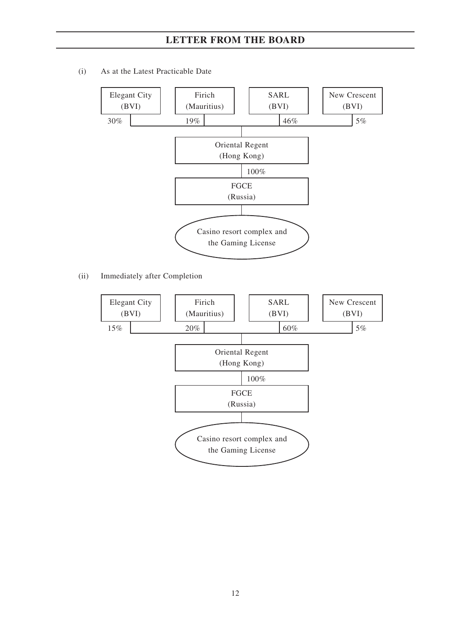(i) As at the Latest Practicable Date



(ii) Immediately after Completion

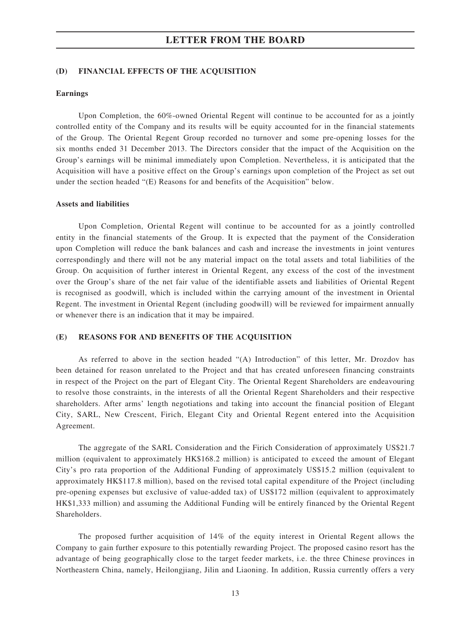#### **(D) FINANCIAL EFFECTS OF THE ACQUISITION**

#### **Earnings**

Upon Completion, the 60%-owned Oriental Regent will continue to be accounted for as a jointly controlled entity of the Company and its results will be equity accounted for in the financial statements of the Group. The Oriental Regent Group recorded no turnover and some pre-opening losses for the six months ended 31 December 2013. The Directors consider that the impact of the Acquisition on the Group's earnings will be minimal immediately upon Completion. Nevertheless, it is anticipated that the Acquisition will have a positive effect on the Group's earnings upon completion of the Project as set out under the section headed "(E) Reasons for and benefits of the Acquisition" below.

#### **Assets and liabilities**

Upon Completion, Oriental Regent will continue to be accounted for as a jointly controlled entity in the financial statements of the Group. It is expected that the payment of the Consideration upon Completion will reduce the bank balances and cash and increase the investments in joint ventures correspondingly and there will not be any material impact on the total assets and total liabilities of the Group. On acquisition of further interest in Oriental Regent, any excess of the cost of the investment over the Group's share of the net fair value of the identifiable assets and liabilities of Oriental Regent is recognised as goodwill, which is included within the carrying amount of the investment in Oriental Regent. The investment in Oriental Regent (including goodwill) will be reviewed for impairment annually or whenever there is an indication that it may be impaired.

#### **(E) REASONS FOR AND BENEFITS OF THE ACQUISITION**

As referred to above in the section headed "(A) Introduction" of this letter, Mr. Drozdov has been detained for reason unrelated to the Project and that has created unforeseen financing constraints in respect of the Project on the part of Elegant City. The Oriental Regent Shareholders are endeavouring to resolve those constraints, in the interests of all the Oriental Regent Shareholders and their respective shareholders. After arms' length negotiations and taking into account the financial position of Elegant City, SARL, New Crescent, Firich, Elegant City and Oriental Regent entered into the Acquisition Agreement.

The aggregate of the SARL Consideration and the Firich Consideration of approximately US\$21.7 million (equivalent to approximately HK\$168.2 million) is anticipated to exceed the amount of Elegant City's pro rata proportion of the Additional Funding of approximately US\$15.2 million (equivalent to approximately HK\$117.8 million), based on the revised total capital expenditure of the Project (including pre-opening expenses but exclusive of value-added tax) of US\$172 million (equivalent to approximately HK\$1,333 million) and assuming the Additional Funding will be entirely financed by the Oriental Regent Shareholders.

The proposed further acquisition of 14% of the equity interest in Oriental Regent allows the Company to gain further exposure to this potentially rewarding Project. The proposed casino resort has the advantage of being geographically close to the target feeder markets, i.e. the three Chinese provinces in Northeastern China, namely, Heilongjiang, Jilin and Liaoning. In addition, Russia currently offers a very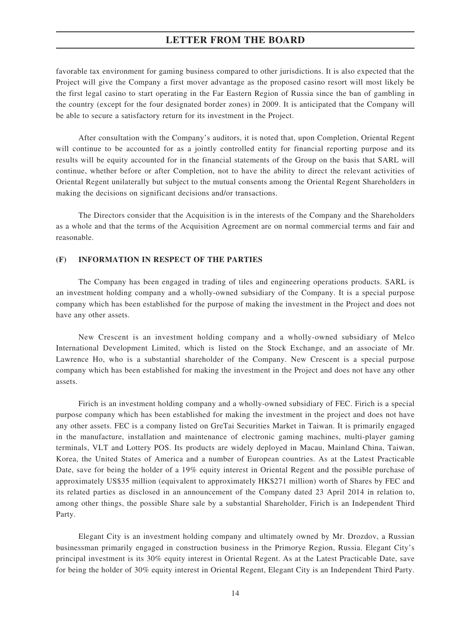favorable tax environment for gaming business compared to other jurisdictions. It is also expected that the Project will give the Company a first mover advantage as the proposed casino resort will most likely be the first legal casino to start operating in the Far Eastern Region of Russia since the ban of gambling in the country (except for the four designated border zones) in 2009. It is anticipated that the Company will be able to secure a satisfactory return for its investment in the Project.

After consultation with the Company's auditors, it is noted that, upon Completion, Oriental Regent will continue to be accounted for as a jointly controlled entity for financial reporting purpose and its results will be equity accounted for in the financial statements of the Group on the basis that SARL will continue, whether before or after Completion, not to have the ability to direct the relevant activities of Oriental Regent unilaterally but subject to the mutual consents among the Oriental Regent Shareholders in making the decisions on significant decisions and/or transactions.

The Directors consider that the Acquisition is in the interests of the Company and the Shareholders as a whole and that the terms of the Acquisition Agreement are on normal commercial terms and fair and reasonable.

#### **(F) INFORMATION IN RESPECT OF THE PARTIES**

The Company has been engaged in trading of tiles and engineering operations products. SARL is an investment holding company and a wholly-owned subsidiary of the Company. It is a special purpose company which has been established for the purpose of making the investment in the Project and does not have any other assets.

New Crescent is an investment holding company and a wholly-owned subsidiary of Melco International Development Limited, which is listed on the Stock Exchange, and an associate of Mr. Lawrence Ho, who is a substantial shareholder of the Company. New Crescent is a special purpose company which has been established for making the investment in the Project and does not have any other assets.

Firich is an investment holding company and a wholly-owned subsidiary of FEC. Firich is a special purpose company which has been established for making the investment in the project and does not have any other assets. FEC is a company listed on GreTai Securities Market in Taiwan. It is primarily engaged in the manufacture, installation and maintenance of electronic gaming machines, multi-player gaming terminals, VLT and Lottery POS. Its products are widely deployed in Macau, Mainland China, Taiwan, Korea, the United States of America and a number of European countries. As at the Latest Practicable Date, save for being the holder of a 19% equity interest in Oriental Regent and the possible purchase of approximately US\$35 million (equivalent to approximately HK\$271 million) worth of Shares by FEC and its related parties as disclosed in an announcement of the Company dated 23 April 2014 in relation to, among other things, the possible Share sale by a substantial Shareholder, Firich is an Independent Third Party.

Elegant City is an investment holding company and ultimately owned by Mr. Drozdov, a Russian businessman primarily engaged in construction business in the Primorye Region, Russia. Elegant City's principal investment is its 30% equity interest in Oriental Regent. As at the Latest Practicable Date, save for being the holder of 30% equity interest in Oriental Regent, Elegant City is an Independent Third Party.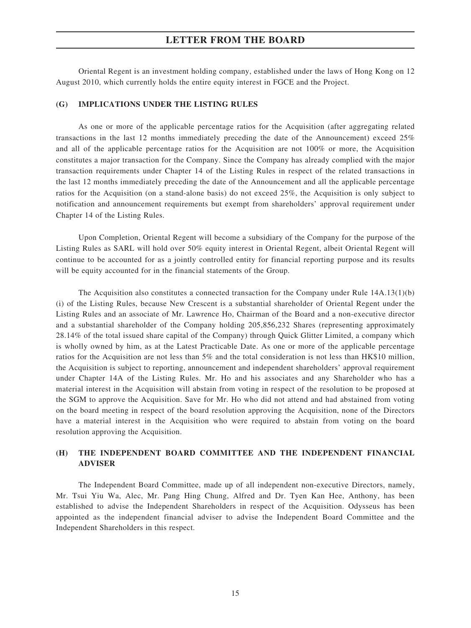Oriental Regent is an investment holding company, established under the laws of Hong Kong on 12 August 2010, which currently holds the entire equity interest in FGCE and the Project.

#### **(G) IMPLICATIONS UNDER THE LISTING RULES**

As one or more of the applicable percentage ratios for the Acquisition (after aggregating related transactions in the last 12 months immediately preceding the date of the Announcement) exceed 25% and all of the applicable percentage ratios for the Acquisition are not 100% or more, the Acquisition constitutes a major transaction for the Company. Since the Company has already complied with the major transaction requirements under Chapter 14 of the Listing Rules in respect of the related transactions in the last 12 months immediately preceding the date of the Announcement and all the applicable percentage ratios for the Acquisition (on a stand-alone basis) do not exceed 25%, the Acquisition is only subject to notification and announcement requirements but exempt from shareholders' approval requirement under Chapter 14 of the Listing Rules.

Upon Completion, Oriental Regent will become a subsidiary of the Company for the purpose of the Listing Rules as SARL will hold over 50% equity interest in Oriental Regent, albeit Oriental Regent will continue to be accounted for as a jointly controlled entity for financial reporting purpose and its results will be equity accounted for in the financial statements of the Group.

The Acquisition also constitutes a connected transaction for the Company under Rule 14A.13(1)(b) (i) of the Listing Rules, because New Crescent is a substantial shareholder of Oriental Regent under the Listing Rules and an associate of Mr. Lawrence Ho, Chairman of the Board and a non-executive director and a substantial shareholder of the Company holding 205,856,232 Shares (representing approximately 28.14% of the total issued share capital of the Company) through Quick Glitter Limited, a company which is wholly owned by him, as at the Latest Practicable Date. As one or more of the applicable percentage ratios for the Acquisition are not less than 5% and the total consideration is not less than HK\$10 million, the Acquisition is subject to reporting, announcement and independent shareholders' approval requirement under Chapter 14A of the Listing Rules. Mr. Ho and his associates and any Shareholder who has a material interest in the Acquisition will abstain from voting in respect of the resolution to be proposed at the SGM to approve the Acquisition. Save for Mr. Ho who did not attend and had abstained from voting on the board meeting in respect of the board resolution approving the Acquisition, none of the Directors have a material interest in the Acquisition who were required to abstain from voting on the board resolution approving the Acquisition.

## **(H) THE INDEPENDENT BOARD COMMITTEE AND THE INDEPENDENT FINANCIAL ADVISER**

The Independent Board Committee, made up of all independent non-executive Directors, namely, Mr. Tsui Yiu Wa, Alec, Mr. Pang Hing Chung, Alfred and Dr. Tyen Kan Hee, Anthony, has been established to advise the Independent Shareholders in respect of the Acquisition. Odysseus has been appointed as the independent financial adviser to advise the Independent Board Committee and the Independent Shareholders in this respect.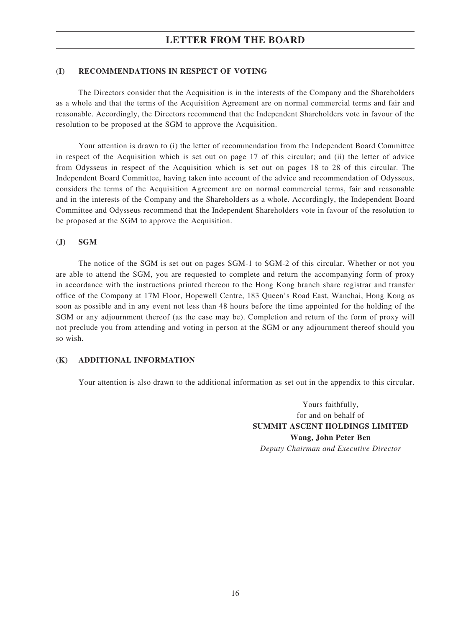#### **(I) RECOMMENDATIONS IN RESPECT OF VOTING**

The Directors consider that the Acquisition is in the interests of the Company and the Shareholders as a whole and that the terms of the Acquisition Agreement are on normal commercial terms and fair and reasonable. Accordingly, the Directors recommend that the Independent Shareholders vote in favour of the resolution to be proposed at the SGM to approve the Acquisition.

Your attention is drawn to (i) the letter of recommendation from the Independent Board Committee in respect of the Acquisition which is set out on page 17 of this circular; and (ii) the letter of advice from Odysseus in respect of the Acquisition which is set out on pages 18 to 28 of this circular. The Independent Board Committee, having taken into account of the advice and recommendation of Odysseus, considers the terms of the Acquisition Agreement are on normal commercial terms, fair and reasonable and in the interests of the Company and the Shareholders as a whole. Accordingly, the Independent Board Committee and Odysseus recommend that the Independent Shareholders vote in favour of the resolution to be proposed at the SGM to approve the Acquisition.

#### **(J) SGM**

The notice of the SGM is set out on pages SGM-1 to SGM-2 of this circular. Whether or not you are able to attend the SGM, you are requested to complete and return the accompanying form of proxy in accordance with the instructions printed thereon to the Hong Kong branch share registrar and transfer office of the Company at 17M Floor, Hopewell Centre, 183 Queen's Road East, Wanchai, Hong Kong as soon as possible and in any event not less than 48 hours before the time appointed for the holding of the SGM or any adjournment thereof (as the case may be). Completion and return of the form of proxy will not preclude you from attending and voting in person at the SGM or any adjournment thereof should you so wish.

#### **(K) ADDITIONAL INFORMATION**

Your attention is also drawn to the additional information as set out in the appendix to this circular.

Yours faithfully, for and on behalf of **SUMMIT ASCENT HOLDINGS LIMITED Wang, John Peter Ben** *Deputy Chairman and Executive Director*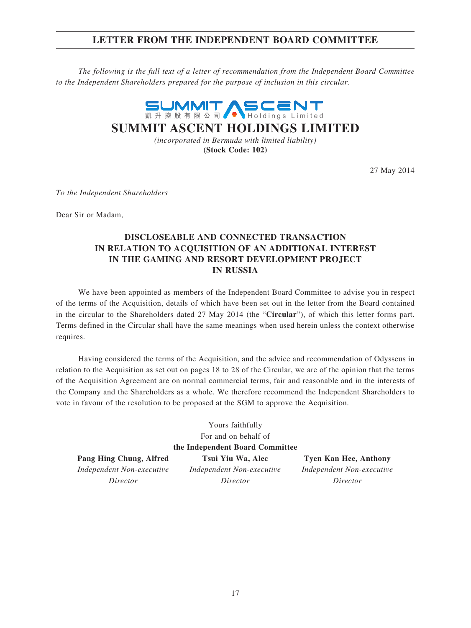## **LETTER FROM THE INDEPENDENT BOARD COMMITTEE**

*The following is the full text of a letter of recommendation from the Independent Board Committee to the Independent Shareholders prepared for the purpose of inclusion in this circular.*



**(Stock Code: 102)**

27 May 2014

*To the Independent Shareholders*

Dear Sir or Madam,

## **DISCLOSEABLE AND CONNECTED TRANSACTION IN RELATION TO ACQUISITION OF AN ADDITIONAL INTEREST IN THE GAMING AND RESORT DEVELOPMENT PROJECT IN RUSSIA**

We have been appointed as members of the Independent Board Committee to advise you in respect of the terms of the Acquisition, details of which have been set out in the letter from the Board contained in the circular to the Shareholders dated 27 May 2014 (the "**Circular**"), of which this letter forms part. Terms defined in the Circular shall have the same meanings when used herein unless the context otherwise requires.

Having considered the terms of the Acquisition, and the advice and recommendation of Odysseus in relation to the Acquisition as set out on pages 18 to 28 of the Circular, we are of the opinion that the terms of the Acquisition Agreement are on normal commercial terms, fair and reasonable and in the interests of the Company and the Shareholders as a whole. We therefore recommend the Independent Shareholders to vote in favour of the resolution to be proposed at the SGM to approve the Acquisition.

| Yours faithfully                                                                    |                                                   |          |  |  |  |
|-------------------------------------------------------------------------------------|---------------------------------------------------|----------|--|--|--|
| For and on behalf of                                                                |                                                   |          |  |  |  |
| the Independent Board Committee                                                     |                                                   |          |  |  |  |
| Pang Hing Chung, Alfred                                                             | Tsui Yiu Wa, Alec<br><b>Tyen Kan Hee, Anthony</b> |          |  |  |  |
| Independent Non-executive<br>Independent Non-executive<br>Independent Non-executive |                                                   |          |  |  |  |
| Director                                                                            | Director                                          | Director |  |  |  |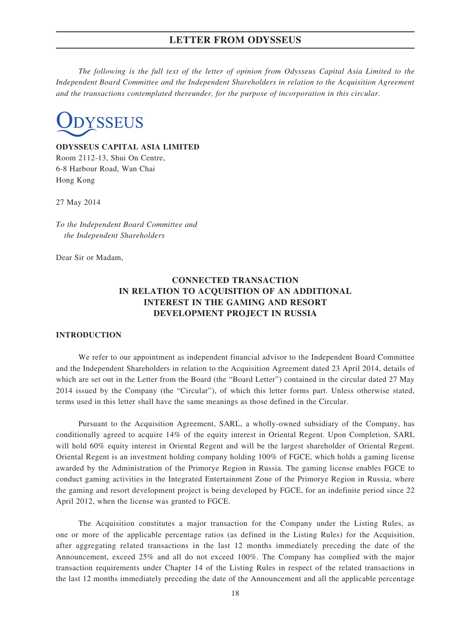*The following is the full text of the letter of opinion from Odysseus Capital Asia Limited to the Independent Board Committee and the Independent Shareholders in relation to the Acquisition Agreement and the transactions contemplated thereunder, for the purpose of incorporation in this circular.*



**ODYSSEUS CAPITAL ASIA LIMITED** Room 2112-13, Shui On Centre, 6-8 Harbour Road, Wan Chai Hong Kong

27 May 2014

*To the Independent Board Committee and the Independent Shareholders*

Dear Sir or Madam,

## **CONNECTED TRANSACTION IN RELATION TO ACQUISITION OF AN ADDITIONAL INTEREST IN THE GAMING AND RESORT DEVELOPMENT PROJECT IN RUSSIA**

#### **INTRODUCTION**

We refer to our appointment as independent financial advisor to the Independent Board Committee and the Independent Shareholders in relation to the Acquisition Agreement dated 23 April 2014, details of which are set out in the Letter from the Board (the "Board Letter") contained in the circular dated 27 May 2014 issued by the Company (the "Circular"), of which this letter forms part. Unless otherwise stated, terms used in this letter shall have the same meanings as those defined in the Circular.

Pursuant to the Acquisition Agreement, SARL, a wholly-owned subsidiary of the Company, has conditionally agreed to acquire 14% of the equity interest in Oriental Regent. Upon Completion, SARL will hold 60% equity interest in Oriental Regent and will be the largest shareholder of Oriental Regent. Oriental Regent is an investment holding company holding 100% of FGCE, which holds a gaming license awarded by the Administration of the Primorye Region in Russia. The gaming license enables FGCE to conduct gaming activities in the Integrated Entertainment Zone of the Primorye Region in Russia, where the gaming and resort development project is being developed by FGCE, for an indefinite period since 22 April 2012, when the license was granted to FGCE.

The Acquisition constitutes a major transaction for the Company under the Listing Rules, as one or more of the applicable percentage ratios (as defined in the Listing Rules) for the Acquisition, after aggregating related transactions in the last 12 months immediately preceding the date of the Announcement, exceed 25% and all do not exceed 100%. The Company has complied with the major transaction requirements under Chapter 14 of the Listing Rules in respect of the related transactions in the last 12 months immediately preceding the date of the Announcement and all the applicable percentage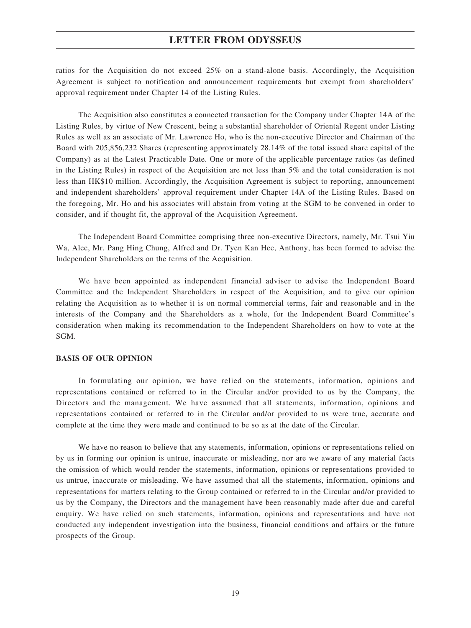ratios for the Acquisition do not exceed 25% on a stand-alone basis. Accordingly, the Acquisition Agreement is subject to notification and announcement requirements but exempt from shareholders' approval requirement under Chapter 14 of the Listing Rules.

The Acquisition also constitutes a connected transaction for the Company under Chapter 14A of the Listing Rules, by virtue of New Crescent, being a substantial shareholder of Oriental Regent under Listing Rules as well as an associate of Mr. Lawrence Ho, who is the non-executive Director and Chairman of the Board with 205,856,232 Shares (representing approximately 28.14% of the total issued share capital of the Company) as at the Latest Practicable Date. One or more of the applicable percentage ratios (as defined in the Listing Rules) in respect of the Acquisition are not less than 5% and the total consideration is not less than HK\$10 million. Accordingly, the Acquisition Agreement is subject to reporting, announcement and independent shareholders' approval requirement under Chapter 14A of the Listing Rules. Based on the foregoing, Mr. Ho and his associates will abstain from voting at the SGM to be convened in order to consider, and if thought fit, the approval of the Acquisition Agreement.

The Independent Board Committee comprising three non-executive Directors, namely, Mr. Tsui Yiu Wa, Alec, Mr. Pang Hing Chung, Alfred and Dr. Tyen Kan Hee, Anthony, has been formed to advise the Independent Shareholders on the terms of the Acquisition.

We have been appointed as independent financial adviser to advise the Independent Board Committee and the Independent Shareholders in respect of the Acquisition, and to give our opinion relating the Acquisition as to whether it is on normal commercial terms, fair and reasonable and in the interests of the Company and the Shareholders as a whole, for the Independent Board Committee's consideration when making its recommendation to the Independent Shareholders on how to vote at the SGM.

#### **BASIS OF OUR OPINION**

In formulating our opinion, we have relied on the statements, information, opinions and representations contained or referred to in the Circular and/or provided to us by the Company, the Directors and the management. We have assumed that all statements, information, opinions and representations contained or referred to in the Circular and/or provided to us were true, accurate and complete at the time they were made and continued to be so as at the date of the Circular.

We have no reason to believe that any statements, information, opinions or representations relied on by us in forming our opinion is untrue, inaccurate or misleading, nor are we aware of any material facts the omission of which would render the statements, information, opinions or representations provided to us untrue, inaccurate or misleading. We have assumed that all the statements, information, opinions and representations for matters relating to the Group contained or referred to in the Circular and/or provided to us by the Company, the Directors and the management have been reasonably made after due and careful enquiry. We have relied on such statements, information, opinions and representations and have not conducted any independent investigation into the business, financial conditions and affairs or the future prospects of the Group.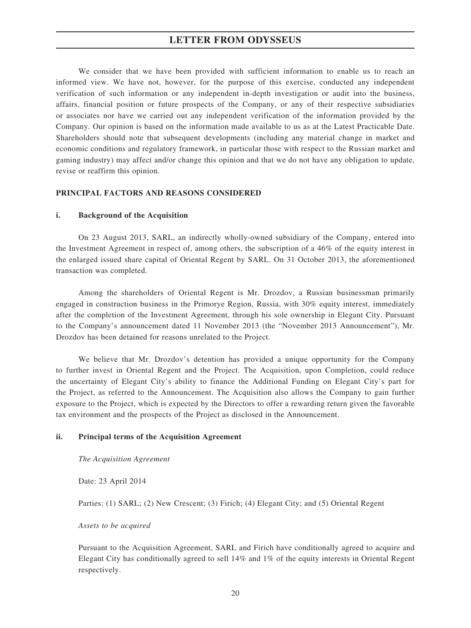We consider that we have been provided with sufficient information to enable us to reach an informed view. We have not, however, for the purpose of this exercise, conducted any independent verification of such information or any independent in-depth investigation or audit into the business, affairs, financial position or future prospects of the Company, or any of their respective subsidiaries or associates nor have we carried out any independent verification of the information provided by the Company. Our opinion is based on the information made available to us as at the Latest Practicable Date. Shareholders should note that subsequent developments (including any material change in market and economic conditions and regulatory framework, in particular those with respect to the Russian market and gaming industry) may affect and/or change this opinion and that we do not have any obligation to update, revise or reaffirm this opinion.

#### **PRINCIPAL FACTORS AND REASONS CONSIDERED**

#### **i. Background of the Acquisition**

On 23 August 2013, SARL, an indirectly wholly-owned subsidiary of the Company, entered into the Investment Agreement in respect of, among others, the subscription of a 46% of the equity interest in the enlarged issued share capital of Oriental Regent by SARL. On 31 October 2013, the aforementioned transaction was completed.

Among the shareholders of Oriental Regent is Mr. Drozdov, a Russian businessman primarily engaged in construction business in the Primorye Region, Russia, with 30% equity interest, immediately after the completion of the Investment Agreement, through his sole ownership in Elegant City. Pursuant to the Company's announcement dated 11 November 2013 (the "November 2013 Announcement"), Mr. Drozdov has been detained for reasons unrelated to the Project.

We believe that Mr. Drozdov's detention has provided a unique opportunity for the Company to further invest in Oriental Regent and the Project. The Acquisition, upon Completion, could reduce the uncertainty of Elegant City's ability to finance the Additional Funding on Elegant City's part for the Project, as referred to the Announcement. The Acquisition also allows the Company to gain further exposure to the Project, which is expected by the Directors to offer a rewarding return given the favorable tax environment and the prospects of the Project as disclosed in the Announcement.

#### **ii. Principal terms of the Acquisition Agreement**

*The Acquisition Agreement*

Date: 23 April 2014

Parties: (1) SARL; (2) New Crescent; (3) Firich; (4) Elegant City; and (5) Oriental Regent

#### *Assets to be acquired*

Pursuant to the Acquisition Agreement, SARL and Firich have conditionally agreed to acquire and Elegant City has conditionally agreed to sell 14% and 1% of the equity interests in Oriental Regent respectively.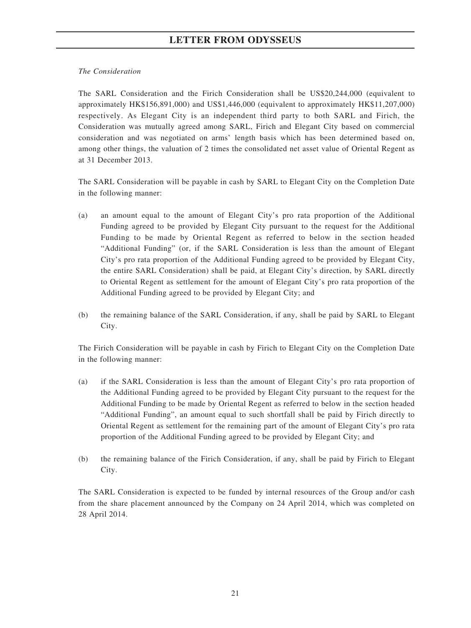### *The Consideration*

The SARL Consideration and the Firich Consideration shall be US\$20,244,000 (equivalent to approximately HK\$156,891,000) and US\$1,446,000 (equivalent to approximately HK\$11,207,000) respectively. As Elegant City is an independent third party to both SARL and Firich, the Consideration was mutually agreed among SARL, Firich and Elegant City based on commercial consideration and was negotiated on arms' length basis which has been determined based on, among other things, the valuation of 2 times the consolidated net asset value of Oriental Regent as at 31 December 2013.

The SARL Consideration will be payable in cash by SARL to Elegant City on the Completion Date in the following manner:

- (a) an amount equal to the amount of Elegant City's pro rata proportion of the Additional Funding agreed to be provided by Elegant City pursuant to the request for the Additional Funding to be made by Oriental Regent as referred to below in the section headed "Additional Funding" (or, if the SARL Consideration is less than the amount of Elegant City's pro rata proportion of the Additional Funding agreed to be provided by Elegant City, the entire SARL Consideration) shall be paid, at Elegant City's direction, by SARL directly to Oriental Regent as settlement for the amount of Elegant City's pro rata proportion of the Additional Funding agreed to be provided by Elegant City; and
- (b) the remaining balance of the SARL Consideration, if any, shall be paid by SARL to Elegant City.

The Firich Consideration will be payable in cash by Firich to Elegant City on the Completion Date in the following manner:

- (a) if the SARL Consideration is less than the amount of Elegant City's pro rata proportion of the Additional Funding agreed to be provided by Elegant City pursuant to the request for the Additional Funding to be made by Oriental Regent as referred to below in the section headed "Additional Funding", an amount equal to such shortfall shall be paid by Firich directly to Oriental Regent as settlement for the remaining part of the amount of Elegant City's pro rata proportion of the Additional Funding agreed to be provided by Elegant City; and
- (b) the remaining balance of the Firich Consideration, if any, shall be paid by Firich to Elegant City.

The SARL Consideration is expected to be funded by internal resources of the Group and/or cash from the share placement announced by the Company on 24 April 2014, which was completed on 28 April 2014.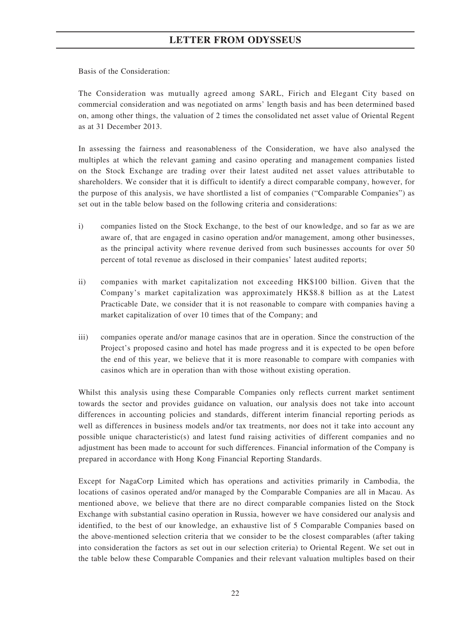Basis of the Consideration:

The Consideration was mutually agreed among SARL, Firich and Elegant City based on commercial consideration and was negotiated on arms' length basis and has been determined based on, among other things, the valuation of 2 times the consolidated net asset value of Oriental Regent as at 31 December 2013.

In assessing the fairness and reasonableness of the Consideration, we have also analysed the multiples at which the relevant gaming and casino operating and management companies listed on the Stock Exchange are trading over their latest audited net asset values attributable to shareholders. We consider that it is difficult to identify a direct comparable company, however, for the purpose of this analysis, we have shortlisted a list of companies ("Comparable Companies") as set out in the table below based on the following criteria and considerations:

- i) companies listed on the Stock Exchange, to the best of our knowledge, and so far as we are aware of, that are engaged in casino operation and/or management, among other businesses, as the principal activity where revenue derived from such businesses accounts for over 50 percent of total revenue as disclosed in their companies' latest audited reports;
- ii) companies with market capitalization not exceeding HK\$100 billion. Given that the Company's market capitalization was approximately HK\$8.8 billion as at the Latest Practicable Date, we consider that it is not reasonable to compare with companies having a market capitalization of over 10 times that of the Company; and
- iii) companies operate and/or manage casinos that are in operation. Since the construction of the Project's proposed casino and hotel has made progress and it is expected to be open before the end of this year, we believe that it is more reasonable to compare with companies with casinos which are in operation than with those without existing operation.

Whilst this analysis using these Comparable Companies only reflects current market sentiment towards the sector and provides guidance on valuation, our analysis does not take into account differences in accounting policies and standards, different interim financial reporting periods as well as differences in business models and/or tax treatments, nor does not it take into account any possible unique characteristic(s) and latest fund raising activities of different companies and no adjustment has been made to account for such differences. Financial information of the Company is prepared in accordance with Hong Kong Financial Reporting Standards.

Except for NagaCorp Limited which has operations and activities primarily in Cambodia, the locations of casinos operated and/or managed by the Comparable Companies are all in Macau. As mentioned above, we believe that there are no direct comparable companies listed on the Stock Exchange with substantial casino operation in Russia, however we have considered our analysis and identified, to the best of our knowledge, an exhaustive list of 5 Comparable Companies based on the above-mentioned selection criteria that we consider to be the closest comparables (after taking into consideration the factors as set out in our selection criteria) to Oriental Regent. We set out in the table below these Comparable Companies and their relevant valuation multiples based on their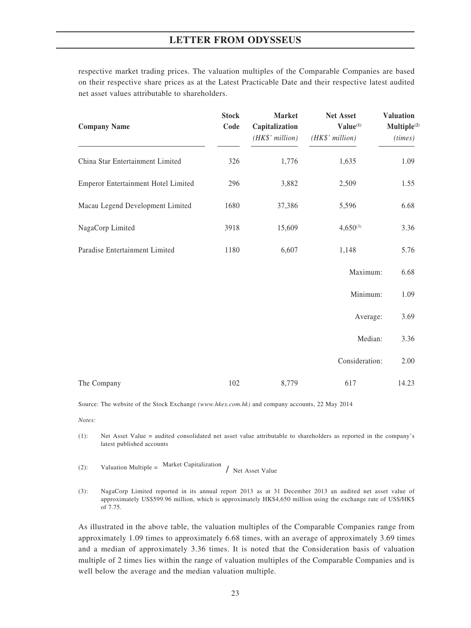respective market trading prices. The valuation multiples of the Comparable Companies are based on their respective share prices as at the Latest Practicable Date and their respective latest audited net asset values attributable to shareholders.

| <b>Company Name</b>                 | <b>Stock</b><br>Code | <b>Market</b><br>Capitalization<br>$(HK\$ <sup>'</sup> million) | Net Asset<br>$\mathbf{Value}^{(1)}$<br>(HK\$' million) | <b>Valuation</b><br>Multiple <sup>(2)</sup><br>(times) |
|-------------------------------------|----------------------|-----------------------------------------------------------------|--------------------------------------------------------|--------------------------------------------------------|
| China Star Entertainment Limited    | 326                  | 1,776                                                           | 1,635                                                  | 1.09                                                   |
| Emperor Entertainment Hotel Limited | 296                  | 3,882                                                           | 2,509                                                  | 1.55                                                   |
| Macau Legend Development Limited    | 1680                 | 37,386                                                          | 5,596                                                  | 6.68                                                   |
| NagaCorp Limited                    | 3918                 | 15,609                                                          | $4,650^{(3)}$                                          | 3.36                                                   |
| Paradise Entertainment Limited      | 1180                 | 6,607                                                           | 1,148                                                  | 5.76                                                   |
|                                     |                      |                                                                 | Maximum:                                               | 6.68                                                   |
|                                     |                      |                                                                 | Minimum:                                               | 1.09                                                   |
|                                     |                      |                                                                 | Average:                                               | 3.69                                                   |
|                                     |                      |                                                                 | Median:                                                | 3.36                                                   |
|                                     |                      |                                                                 | Consideration:                                         | 2.00                                                   |
| The Company                         | 102                  | 8,779                                                           | 617                                                    | 14.23                                                  |

Source: The website of the Stock Exchange *(www.hkex.com.hk)* and company accounts, 22 May 2014

*Notes:*

(1): Net Asset Value = audited consolidated net asset value attributable to shareholders as reported in the company's latest published accounts

- (2): Valuation Multiple = Market Capitalization  $/$  Net Asset Value
- (3): NagaCorp Limited reported in its annual report 2013 as at 31 December 2013 an audited net asset value of approximately US\$599.96 million, which is approximately HK\$4,650 million using the exchange rate of US\$/HK\$ of 7.75.

As illustrated in the above table, the valuation multiples of the Comparable Companies range from approximately 1.09 times to approximately 6.68 times, with an average of approximately 3.69 times and a median of approximately 3.36 times. It is noted that the Consideration basis of valuation multiple of 2 times lies within the range of valuation multiples of the Comparable Companies and is well below the average and the median valuation multiple.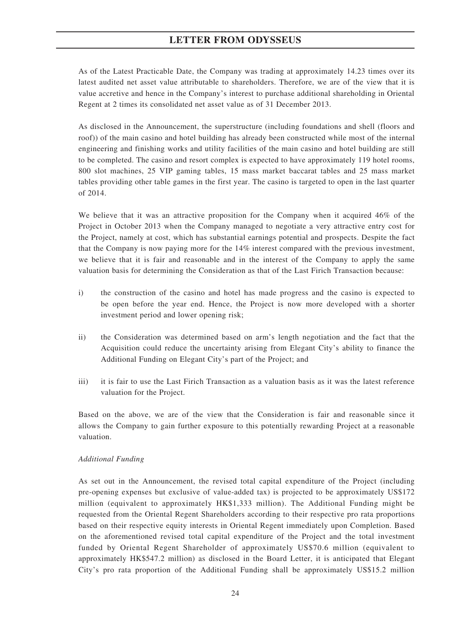As of the Latest Practicable Date, the Company was trading at approximately 14.23 times over its latest audited net asset value attributable to shareholders. Therefore, we are of the view that it is value accretive and hence in the Company's interest to purchase additional shareholding in Oriental Regent at 2 times its consolidated net asset value as of 31 December 2013.

As disclosed in the Announcement, the superstructure (including foundations and shell (floors and roof)) of the main casino and hotel building has already been constructed while most of the internal engineering and finishing works and utility facilities of the main casino and hotel building are still to be completed. The casino and resort complex is expected to have approximately 119 hotel rooms, 800 slot machines, 25 VIP gaming tables, 15 mass market baccarat tables and 25 mass market tables providing other table games in the first year. The casino is targeted to open in the last quarter of 2014.

We believe that it was an attractive proposition for the Company when it acquired 46% of the Project in October 2013 when the Company managed to negotiate a very attractive entry cost for the Project, namely at cost, which has substantial earnings potential and prospects. Despite the fact that the Company is now paying more for the 14% interest compared with the previous investment, we believe that it is fair and reasonable and in the interest of the Company to apply the same valuation basis for determining the Consideration as that of the Last Firich Transaction because:

- i) the construction of the casino and hotel has made progress and the casino is expected to be open before the year end. Hence, the Project is now more developed with a shorter investment period and lower opening risk;
- ii) the Consideration was determined based on arm's length negotiation and the fact that the Acquisition could reduce the uncertainty arising from Elegant City's ability to finance the Additional Funding on Elegant City's part of the Project; and
- iii) it is fair to use the Last Firich Transaction as a valuation basis as it was the latest reference valuation for the Project.

Based on the above, we are of the view that the Consideration is fair and reasonable since it allows the Company to gain further exposure to this potentially rewarding Project at a reasonable valuation.

#### *Additional Funding*

As set out in the Announcement, the revised total capital expenditure of the Project (including pre-opening expenses but exclusive of value-added tax) is projected to be approximately US\$172 million (equivalent to approximately HK\$1,333 million). The Additional Funding might be requested from the Oriental Regent Shareholders according to their respective pro rata proportions based on their respective equity interests in Oriental Regent immediately upon Completion. Based on the aforementioned revised total capital expenditure of the Project and the total investment funded by Oriental Regent Shareholder of approximately US\$70.6 million (equivalent to approximately HK\$547.2 million) as disclosed in the Board Letter, it is anticipated that Elegant City's pro rata proportion of the Additional Funding shall be approximately US\$15.2 million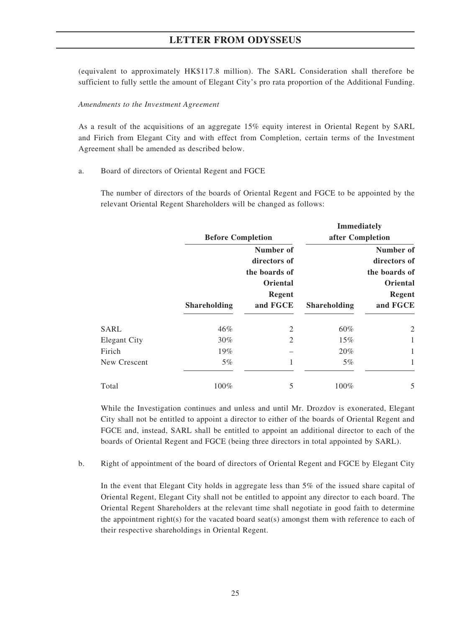(equivalent to approximately HK\$117.8 million). The SARL Consideration shall therefore be sufficient to fully settle the amount of Elegant City's pro rata proportion of the Additional Funding.

#### *Amendments to the Investment Agreement*

As a result of the acquisitions of an aggregate 15% equity interest in Oriental Regent by SARL and Firich from Elegant City and with effect from Completion, certain terms of the Investment Agreement shall be amended as described below.

#### a. Board of directors of Oriental Regent and FGCE

The number of directors of the boards of Oriental Regent and FGCE to be appointed by the relevant Oriental Regent Shareholders will be changed as follows:

|                     |                          |                 | <b>Immediately</b>  |               |
|---------------------|--------------------------|-----------------|---------------------|---------------|
|                     | <b>Before Completion</b> |                 | after Completion    |               |
|                     |                          | Number of       |                     | Number of     |
|                     |                          | directors of    |                     | directors of  |
|                     |                          | the boards of   |                     | the boards of |
|                     |                          | <b>Oriental</b> |                     | Oriental      |
|                     |                          | Regent          |                     | <b>Regent</b> |
|                     | <b>Shareholding</b>      | and FGCE        | <b>Shareholding</b> | and FGCE      |
| SARL                | 46%                      | 2               | 60%                 | 2             |
| <b>Elegant City</b> | $30\%$                   | $\mathfrak{D}$  | 15%                 |               |
| Firich              | 19%                      |                 | 20%                 | 1             |
| New Crescent        | $5\%$                    |                 | $5\%$               |               |
| Total               | 100%                     | 5               | 100%                | 5             |

While the Investigation continues and unless and until Mr. Drozdov is exonerated, Elegant City shall not be entitled to appoint a director to either of the boards of Oriental Regent and FGCE and, instead, SARL shall be entitled to appoint an additional director to each of the boards of Oriental Regent and FGCE (being three directors in total appointed by SARL).

b. Right of appointment of the board of directors of Oriental Regent and FGCE by Elegant City

In the event that Elegant City holds in aggregate less than 5% of the issued share capital of Oriental Regent, Elegant City shall not be entitled to appoint any director to each board. The Oriental Regent Shareholders at the relevant time shall negotiate in good faith to determine the appointment right(s) for the vacated board seat(s) amongst them with reference to each of their respective shareholdings in Oriental Regent.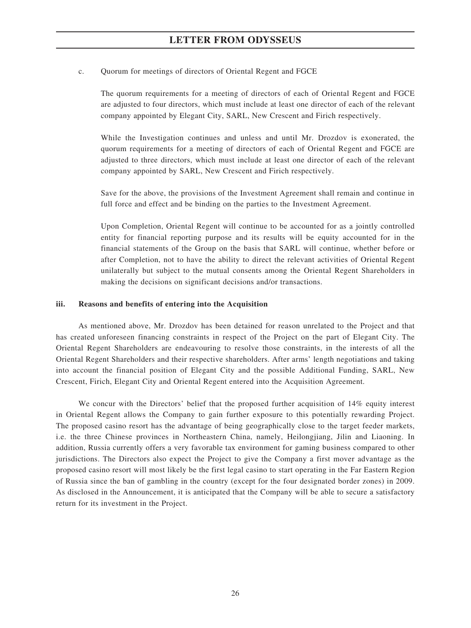#### c. Quorum for meetings of directors of Oriental Regent and FGCE

The quorum requirements for a meeting of directors of each of Oriental Regent and FGCE are adjusted to four directors, which must include at least one director of each of the relevant company appointed by Elegant City, SARL, New Crescent and Firich respectively.

While the Investigation continues and unless and until Mr. Drozdov is exonerated, the quorum requirements for a meeting of directors of each of Oriental Regent and FGCE are adjusted to three directors, which must include at least one director of each of the relevant company appointed by SARL, New Crescent and Firich respectively.

Save for the above, the provisions of the Investment Agreement shall remain and continue in full force and effect and be binding on the parties to the Investment Agreement.

Upon Completion, Oriental Regent will continue to be accounted for as a jointly controlled entity for financial reporting purpose and its results will be equity accounted for in the financial statements of the Group on the basis that SARL will continue, whether before or after Completion, not to have the ability to direct the relevant activities of Oriental Regent unilaterally but subject to the mutual consents among the Oriental Regent Shareholders in making the decisions on significant decisions and/or transactions.

#### **iii. Reasons and benefits of entering into the Acquisition**

As mentioned above, Mr. Drozdov has been detained for reason unrelated to the Project and that has created unforeseen financing constraints in respect of the Project on the part of Elegant City. The Oriental Regent Shareholders are endeavouring to resolve those constraints, in the interests of all the Oriental Regent Shareholders and their respective shareholders. After arms' length negotiations and taking into account the financial position of Elegant City and the possible Additional Funding, SARL, New Crescent, Firich, Elegant City and Oriental Regent entered into the Acquisition Agreement.

We concur with the Directors' belief that the proposed further acquisition of 14% equity interest in Oriental Regent allows the Company to gain further exposure to this potentially rewarding Project. The proposed casino resort has the advantage of being geographically close to the target feeder markets, i.e. the three Chinese provinces in Northeastern China, namely, Heilongjiang, Jilin and Liaoning. In addition, Russia currently offers a very favorable tax environment for gaming business compared to other jurisdictions. The Directors also expect the Project to give the Company a first mover advantage as the proposed casino resort will most likely be the first legal casino to start operating in the Far Eastern Region of Russia since the ban of gambling in the country (except for the four designated border zones) in 2009. As disclosed in the Announcement, it is anticipated that the Company will be able to secure a satisfactory return for its investment in the Project.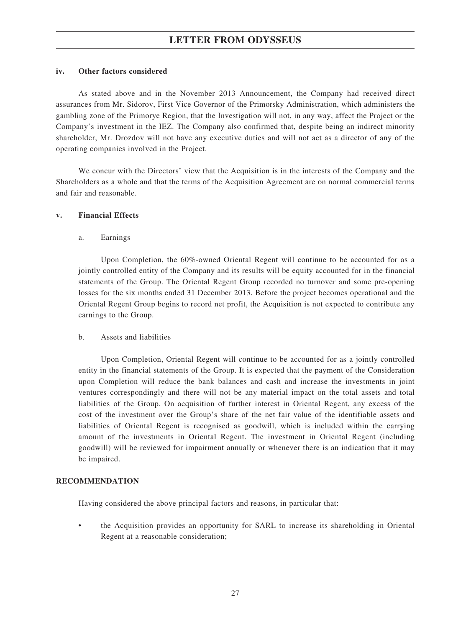#### **iv. Other factors considered**

As stated above and in the November 2013 Announcement, the Company had received direct assurances from Mr. Sidorov, First Vice Governor of the Primorsky Administration, which administers the gambling zone of the Primorye Region, that the Investigation will not, in any way, affect the Project or the Company's investment in the IEZ. The Company also confirmed that, despite being an indirect minority shareholder, Mr. Drozdov will not have any executive duties and will not act as a director of any of the operating companies involved in the Project.

We concur with the Directors' view that the Acquisition is in the interests of the Company and the Shareholders as a whole and that the terms of the Acquisition Agreement are on normal commercial terms and fair and reasonable.

### **v. Financial Effects**

a. Earnings

Upon Completion, the 60%-owned Oriental Regent will continue to be accounted for as a jointly controlled entity of the Company and its results will be equity accounted for in the financial statements of the Group. The Oriental Regent Group recorded no turnover and some pre-opening losses for the six months ended 31 December 2013. Before the project becomes operational and the Oriental Regent Group begins to record net profit, the Acquisition is not expected to contribute any earnings to the Group.

## b. Assets and liabilities

Upon Completion, Oriental Regent will continue to be accounted for as a jointly controlled entity in the financial statements of the Group. It is expected that the payment of the Consideration upon Completion will reduce the bank balances and cash and increase the investments in joint ventures correspondingly and there will not be any material impact on the total assets and total liabilities of the Group. On acquisition of further interest in Oriental Regent, any excess of the cost of the investment over the Group's share of the net fair value of the identifiable assets and liabilities of Oriental Regent is recognised as goodwill, which is included within the carrying amount of the investments in Oriental Regent. The investment in Oriental Regent (including goodwill) will be reviewed for impairment annually or whenever there is an indication that it may be impaired.

## **RECOMMENDATION**

Having considered the above principal factors and reasons, in particular that:

the Acquisition provides an opportunity for SARL to increase its shareholding in Oriental Regent at a reasonable consideration;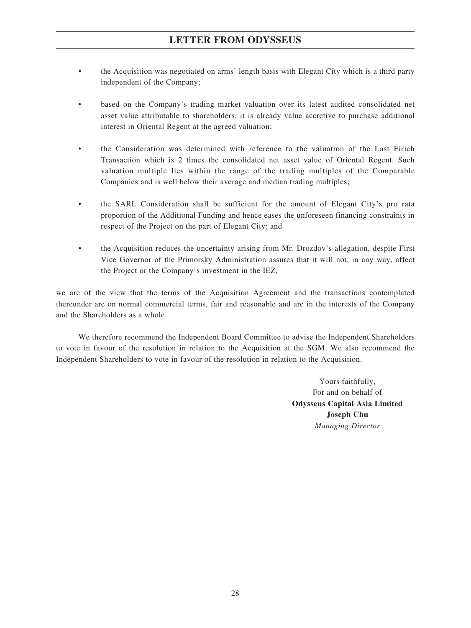- the Acquisition was negotiated on arms' length basis with Elegant City which is a third party independent of the Company;
- based on the Company's trading market valuation over its latest audited consolidated net asset value attributable to shareholders, it is already value accretive to purchase additional interest in Oriental Regent at the agreed valuation;
- the Consideration was determined with reference to the valuation of the Last Firich Transaction which is 2 times the consolidated net asset value of Oriental Regent. Such valuation multiple lies within the range of the trading multiples of the Comparable Companies and is well below their average and median trading multiples;
- the SARL Consideration shall be sufficient for the amount of Elegant City's pro rata proportion of the Additional Funding and hence eases the unforeseen financing constraints in respect of the Project on the part of Elegant City; and
- the Acquisition reduces the uncertainty arising from Mr. Drozdov's allegation, despite First Vice Governor of the Primorsky Administration assures that it will not, in any way, affect the Project or the Company's investment in the IEZ,

we are of the view that the terms of the Acquisition Agreement and the transactions contemplated thereunder are on normal commercial terms, fair and reasonable and are in the interests of the Company and the Shareholders as a whole.

We therefore recommend the Independent Board Committee to advise the Independent Shareholders to vote in favour of the resolution in relation to the Acquisition at the SGM. We also recommend the Independent Shareholders to vote in favour of the resolution in relation to the Acquisition.

> Yours faithfully, For and on behalf of **Odysseus Capital Asia Limited Joseph Chu** *Managing Director*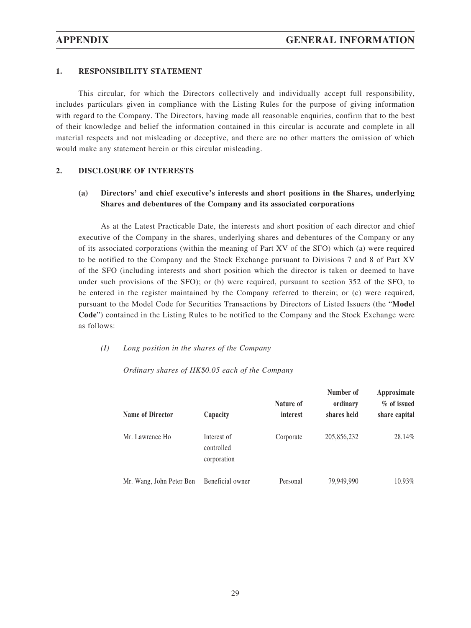### **1. RESPONSIBILITY STATEMENT**

This circular, for which the Directors collectively and individually accept full responsibility, includes particulars given in compliance with the Listing Rules for the purpose of giving information with regard to the Company. The Directors, having made all reasonable enquiries, confirm that to the best of their knowledge and belief the information contained in this circular is accurate and complete in all material respects and not misleading or deceptive, and there are no other matters the omission of which would make any statement herein or this circular misleading.

#### **2. DISCLOSURE OF INTERESTS**

## **(a) Directors' and chief executive's interests and short positions in the Shares, underlying Shares and debentures of the Company and its associated corporations**

As at the Latest Practicable Date, the interests and short position of each director and chief executive of the Company in the shares, underlying shares and debentures of the Company or any of its associated corporations (within the meaning of Part XV of the SFO) which (a) were required to be notified to the Company and the Stock Exchange pursuant to Divisions 7 and 8 of Part XV of the SFO (including interests and short position which the director is taken or deemed to have under such provisions of the SFO); or (b) were required, pursuant to section 352 of the SFO, to be entered in the register maintained by the Company referred to therein; or (c) were required, pursuant to the Model Code for Securities Transactions by Directors of Listed Issuers (the "**Model Code**") contained in the Listing Rules to be notified to the Company and the Stock Exchange were as follows:

#### *(I) Long position in the shares of the Company*

#### *Ordinary shares of HK\$0.05 each of the Company*

| <b>Name of Director</b>  | Capacity                                 | Nature of<br>interest | Number of<br>ordinary<br>shares held | Approximate<br>% of issued<br>share capital |
|--------------------------|------------------------------------------|-----------------------|--------------------------------------|---------------------------------------------|
| Mr. Lawrence Ho          | Interest of<br>controlled<br>corporation | Corporate             | 205,856,232                          | 28.14%                                      |
| Mr. Wang, John Peter Ben | Beneficial owner                         | Personal              | 79,949,990                           | 10.93%                                      |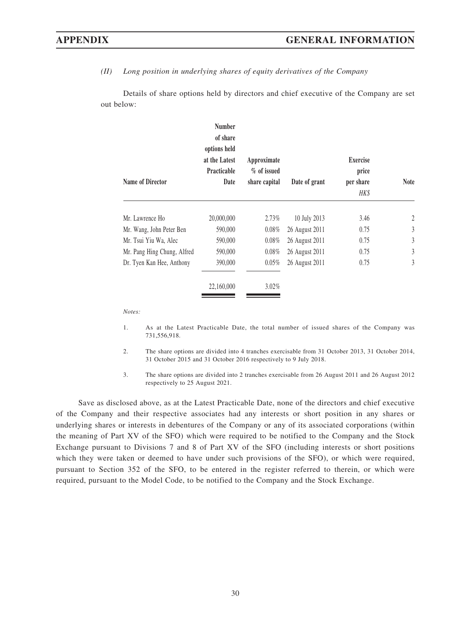*(II) Long position in underlying shares of equity derivatives of the Company*

Details of share options held by directors and chief executive of the Company are set out below:

| <b>Name of Director</b>     | <b>Number</b><br>of share<br>options held<br>at the Latest<br><b>Practicable</b><br>Date | Approximate<br>% of issued<br>share capital | Date of grant  | <b>Exercise</b><br>price<br>per share<br>HK\$ | <b>Note</b> |
|-----------------------------|------------------------------------------------------------------------------------------|---------------------------------------------|----------------|-----------------------------------------------|-------------|
| Mr. Lawrence Ho             | 20,000,000                                                                               | 2.73%                                       | 10 July 2013   | 3.46                                          | 2           |
| Mr. Wang, John Peter Ben    | 590,000                                                                                  | $0.08\%$                                    | 26 August 2011 | 0.75                                          | 3           |
| Mr. Tsui Yiu Wa, Alec       | 590,000                                                                                  | $0.08\%$                                    | 26 August 2011 | 0.75                                          | 3           |
| Mr. Pang Hing Chung, Alfred | 590,000                                                                                  | $0.08\%$                                    | 26 August 2011 | 0.75                                          | 3           |
| Dr. Tyen Kan Hee, Anthony   | 390,000                                                                                  | $0.05\%$                                    | 26 August 2011 | 0.75                                          | 3           |
|                             | 22,160,000                                                                               | $3.02\%$                                    |                |                                               |             |

*Notes:*

- 1. As at the Latest Practicable Date, the total number of issued shares of the Company was 731,556,918.
- 2. The share options are divided into 4 tranches exercisable from 31 October 2013, 31 October 2014, 31 October 2015 and 31 October 2016 respectively to 9 July 2018.
- 3. The share options are divided into 2 tranches exercisable from 26 August 2011 and 26 August 2012 respectively to 25 August 2021.

Save as disclosed above, as at the Latest Practicable Date, none of the directors and chief executive of the Company and their respective associates had any interests or short position in any shares or underlying shares or interests in debentures of the Company or any of its associated corporations (within the meaning of Part XV of the SFO) which were required to be notified to the Company and the Stock Exchange pursuant to Divisions 7 and 8 of Part XV of the SFO (including interests or short positions which they were taken or deemed to have under such provisions of the SFO), or which were required, pursuant to Section 352 of the SFO, to be entered in the register referred to therein, or which were required, pursuant to the Model Code, to be notified to the Company and the Stock Exchange.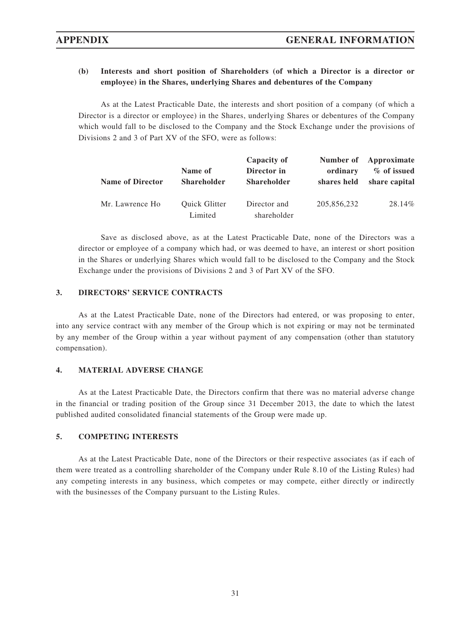## **(b) Interests and short position of Shareholders (of which a Director is a director or employee) in the Shares, underlying Shares and debentures of the Company**

As at the Latest Practicable Date, the interests and short position of a company (of which a Director is a director or employee) in the Shares, underlying Shares or debentures of the Company which would fall to be disclosed to the Company and the Stock Exchange under the provisions of Divisions 2 and 3 of Part XV of the SFO, were as follows:

| <b>Name of Director</b> | Name of<br><b>Shareholder</b>   | Capacity of<br>Director in<br><b>Shareholder</b> | ordinary<br>shares held | Number of Approximate<br>% of issued<br>share capital |
|-------------------------|---------------------------------|--------------------------------------------------|-------------------------|-------------------------------------------------------|
| Mr. Lawrence Ho         | <b>Ouick Glitter</b><br>Limited | Director and<br>shareholder                      | 205,856,232             | 28.14\%                                               |

Save as disclosed above, as at the Latest Practicable Date, none of the Directors was a director or employee of a company which had, or was deemed to have, an interest or short position in the Shares or underlying Shares which would fall to be disclosed to the Company and the Stock Exchange under the provisions of Divisions 2 and 3 of Part XV of the SFO.

#### **3. DIRECTORS' SERVICE CONTRACTS**

As at the Latest Practicable Date, none of the Directors had entered, or was proposing to enter, into any service contract with any member of the Group which is not expiring or may not be terminated by any member of the Group within a year without payment of any compensation (other than statutory compensation).

### **4. MATERIAL ADVERSE CHANGE**

As at the Latest Practicable Date, the Directors confirm that there was no material adverse change in the financial or trading position of the Group since 31 December 2013, the date to which the latest published audited consolidated financial statements of the Group were made up.

## **5. COMPETING INTERESTS**

As at the Latest Practicable Date, none of the Directors or their respective associates (as if each of them were treated as a controlling shareholder of the Company under Rule 8.10 of the Listing Rules) had any competing interests in any business, which competes or may compete, either directly or indirectly with the businesses of the Company pursuant to the Listing Rules.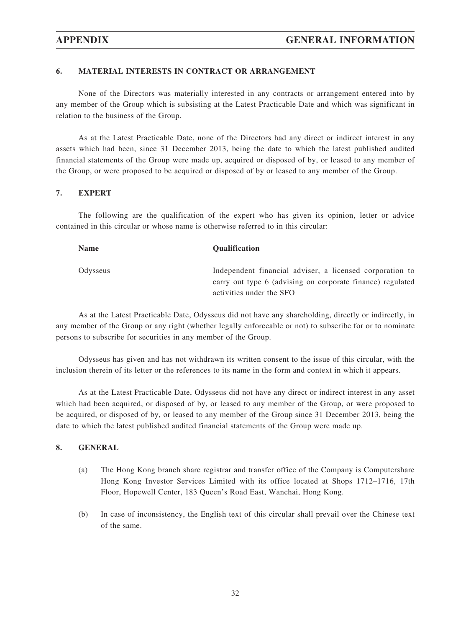### **6. MATERIAL INTERESTS IN CONTRACT OR ARRANGEMENT**

None of the Directors was materially interested in any contracts or arrangement entered into by any member of the Group which is subsisting at the Latest Practicable Date and which was significant in relation to the business of the Group.

As at the Latest Practicable Date, none of the Directors had any direct or indirect interest in any assets which had been, since 31 December 2013, being the date to which the latest published audited financial statements of the Group were made up, acquired or disposed of by, or leased to any member of the Group, or were proposed to be acquired or disposed of by or leased to any member of the Group.

#### **7. EXPERT**

The following are the qualification of the expert who has given its opinion, letter or advice contained in this circular or whose name is otherwise referred to in this circular:

| <b>Name</b> | <b>Oualification</b>                                                                                                   |
|-------------|------------------------------------------------------------------------------------------------------------------------|
| Odysseus    | Independent financial adviser, a licensed corporation to<br>carry out type 6 (advising on corporate finance) regulated |
|             | activities under the SFO                                                                                               |

As at the Latest Practicable Date, Odysseus did not have any shareholding, directly or indirectly, in any member of the Group or any right (whether legally enforceable or not) to subscribe for or to nominate persons to subscribe for securities in any member of the Group.

Odysseus has given and has not withdrawn its written consent to the issue of this circular, with the inclusion therein of its letter or the references to its name in the form and context in which it appears.

As at the Latest Practicable Date, Odysseus did not have any direct or indirect interest in any asset which had been acquired, or disposed of by, or leased to any member of the Group, or were proposed to be acquired, or disposed of by, or leased to any member of the Group since 31 December 2013, being the date to which the latest published audited financial statements of the Group were made up.

#### **8. GENERAL**

- (a) The Hong Kong branch share registrar and transfer office of the Company is Computershare Hong Kong Investor Services Limited with its office located at Shops 1712–1716, 17th Floor, Hopewell Center, 183 Queen's Road East, Wanchai, Hong Kong.
- (b) In case of inconsistency, the English text of this circular shall prevail over the Chinese text of the same.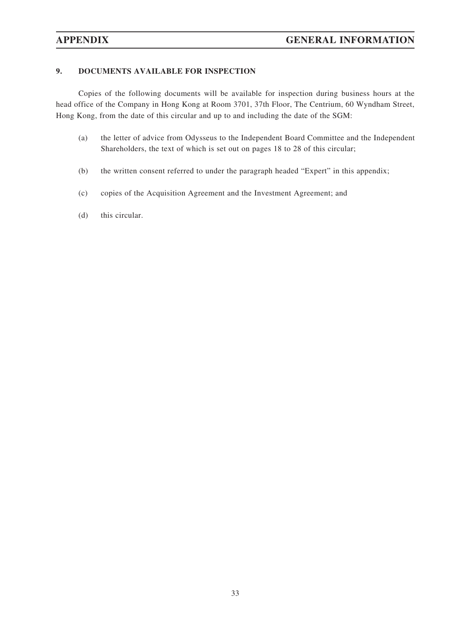## **9. DOCUMENTS AVAILABLE FOR INSPECTION**

Copies of the following documents will be available for inspection during business hours at the head office of the Company in Hong Kong at Room 3701, 37th Floor, The Centrium, 60 Wyndham Street, Hong Kong, from the date of this circular and up to and including the date of the SGM:

- (a) the letter of advice from Odysseus to the Independent Board Committee and the Independent Shareholders, the text of which is set out on pages 18 to 28 of this circular;
- (b) the written consent referred to under the paragraph headed "Expert" in this appendix;
- (c) copies of the Acquisition Agreement and the Investment Agreement; and
- (d) this circular.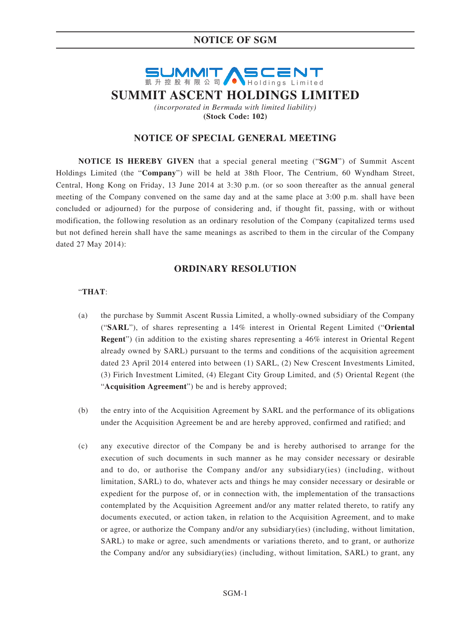## **NOTICE OF SGM**

# **SUMMIT ASCENT SUMMIT ASCENT HOLDINGS LIMITED** *(incorporated in Bermuda with limited liability)* **(Stock Code: 102)**

#### **NOTICE OF SPECIAL GENERAL MEETING**

**NOTICE IS HEREBY GIVEN** that a special general meeting ("**SGM**") of Summit Ascent Holdings Limited (the "**Company**") will be held at 38th Floor, The Centrium, 60 Wyndham Street, Central, Hong Kong on Friday, 13 June 2014 at 3:30 p.m. (or so soon thereafter as the annual general meeting of the Company convened on the same day and at the same place at 3:00 p.m. shall have been concluded or adjourned) for the purpose of considering and, if thought fit, passing, with or without modification, the following resolution as an ordinary resolution of the Company (capitalized terms used but not defined herein shall have the same meanings as ascribed to them in the circular of the Company dated 27 May 2014):

#### **ORDINARY RESOLUTION**

#### "**THAT**:

- (a) the purchase by Summit Ascent Russia Limited, a wholly-owned subsidiary of the Company ("**SARL**"), of shares representing a 14% interest in Oriental Regent Limited ("**Oriental Regent**") (in addition to the existing shares representing a 46% interest in Oriental Regent already owned by SARL) pursuant to the terms and conditions of the acquisition agreement dated 23 April 2014 entered into between (1) SARL, (2) New Crescent Investments Limited, (3) Firich Investment Limited, (4) Elegant City Group Limited, and (5) Oriental Regent (the "**Acquisition Agreement**") be and is hereby approved;
- (b) the entry into of the Acquisition Agreement by SARL and the performance of its obligations under the Acquisition Agreement be and are hereby approved, confirmed and ratified; and
- (c) any executive director of the Company be and is hereby authorised to arrange for the execution of such documents in such manner as he may consider necessary or desirable and to do, or authorise the Company and/or any subsidiary(ies) (including, without limitation, SARL) to do, whatever acts and things he may consider necessary or desirable or expedient for the purpose of, or in connection with, the implementation of the transactions contemplated by the Acquisition Agreement and/or any matter related thereto, to ratify any documents executed, or action taken, in relation to the Acquisition Agreement, and to make or agree, or authorize the Company and/or any subsidiary(ies) (including, without limitation, SARL) to make or agree, such amendments or variations thereto, and to grant, or authorize the Company and/or any subsidiary(ies) (including, without limitation, SARL) to grant, any